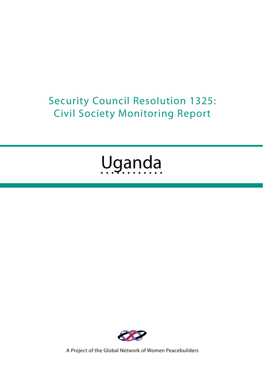## Security Council Resolution 1325: Civil Society Monitoring Report

# Uganda



A Project of the Global Network of Women Peacebuilders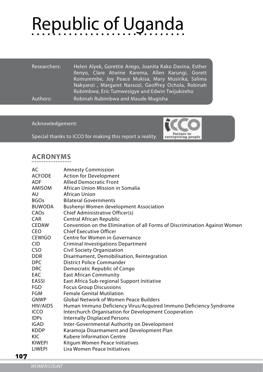# Republic of Uganda

| Researchers: | Helen Alyek, Gorettie Arego, Joanita Kako Davina, Esther<br>Ilenyo, Clare Atwine Karema, Allen Karungi, Gorett<br>Komurembe, Joy Peace Mukisa, Mary Musirika, Salima<br>Nakyanzi, Margaret Nassozi, Geoffrey Ochola, Robinah<br>Rubimbwa, Eric Tumwesigye and Edwin Twijukireho |
|--------------|---------------------------------------------------------------------------------------------------------------------------------------------------------------------------------------------------------------------------------------------------------------------------------|
|              |                                                                                                                                                                                                                                                                                 |
| Authors:     | Robinah Rubimbwa and Maude Mugisha                                                                                                                                                                                                                                              |

Acknowledgement:

Special thanks to ICCO for making this report a reality.



## **ACRONYMS**

| AC            | <b>Amnesty Commission</b>                                                  |
|---------------|----------------------------------------------------------------------------|
| <b>ACFODE</b> | <b>Action for Development</b>                                              |
| <b>ADF</b>    | <b>Allied Democratic Front</b>                                             |
| <b>AMISOM</b> | African Union Mission in Somalia                                           |
| AU            | African Union                                                              |
| <b>BGOs</b>   | <b>Bilateral Governments</b>                                               |
| <b>BUWODA</b> | <b>Bushenyi Women development Association</b>                              |
| CAOs          | Chief Administrative Officer(s)                                            |
| <b>CAR</b>    | Central African Republic                                                   |
| <b>CEDAW</b>  | Convention on the Elimination of all Forms of Discrimination Against Women |
| <b>CEO</b>    | <b>Chief Executive Officer</b>                                             |
| <b>CEWIGO</b> | Centre for Women in Governance                                             |
| <b>CID</b>    | <b>Criminal Investigations Department</b>                                  |
| <b>CSO</b>    | <b>Civil Society Organization</b>                                          |
| <b>DDR</b>    | Disarmament, Demobilisation, Reintegration                                 |
| <b>DPC</b>    | <b>District Police Commander</b>                                           |
| <b>DRC</b>    | Democratic Republic of Congo                                               |
| <b>EAC</b>    | <b>East African Community</b>                                              |
| <b>EASSI</b>  | East Africa Sub-regional Support Initiative                                |
| <b>FGD</b>    | <b>Focus Group Discussions</b>                                             |
| <b>FGM</b>    | <b>Female Genital Mutilation</b>                                           |
| <b>GNWP</b>   | <b>Global Network of Women Peace Builders</b>                              |
| HIV/AIDS      | Human Immuno Deficiency Virus/Acquired Immuno Deficiency Syndrome          |
| <b>ICCO</b>   | Interchurch Organisation for Development Cooperation                       |
| <b>IDPs</b>   | <b>Internally Displaced Persons</b>                                        |
| <b>IGAD</b>   | Inter-Governmental Authority on Development                                |
| <b>KDDP</b>   | Karamoja Disarmament and Development Plan                                  |
| KIC           | <b>Kubere Information Centre</b>                                           |
| <b>KIWEPI</b> | Kitgum Women Peace Initiatives                                             |
| <b>LIWEPI</b> | Lira Women Peace Initiatives                                               |

107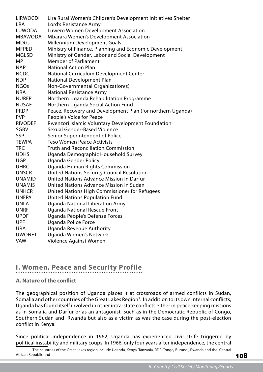| <b>LIRWOCDI</b> | Lira Rural Women's Children's Development Initiatives Shelter |
|-----------------|---------------------------------------------------------------|
| <b>LRA</b>      | Lord's Resistance Army                                        |
| LUWODA          | Luwero Women Development Association                          |
| <b>MBAWODA</b>  | <b>Mbarara Women's Development Association</b>                |
| <b>MDGs</b>     | Millennium Development Goals                                  |
| <b>MFPED</b>    | Ministry of Finance, Planning and Economic Development        |
| <b>MGLSD</b>    | Ministry of Gender, Labor and Social Development              |
| <b>MP</b>       | <b>Member of Parliament</b>                                   |
| <b>NAP</b>      | <b>National Action Plan</b>                                   |
| <b>NCDC</b>     | National Curriculum Development Center                        |
| <b>NDP</b>      | <b>National Development Plan</b>                              |
| <b>NGOs</b>     | Non-Governmental Organization(s)                              |
| <b>NRA</b>      | <b>National Resistance Army</b>                               |
| <b>NUREP</b>    | Northern Uganda Rehabilitation Programme                      |
| <b>NUSAF</b>    | Northern Uganda Social Action Fund                            |
| <b>PRDP</b>     | Peace, Recovery and Development Plan (for northern Uganda)    |
| <b>PVP</b>      | People's Voice for Peace                                      |
| <b>RIVODEF</b>  | Rwenzori Islamic Voluntary Development Foundation             |
| SGBV            | Sexual Gender-Based Violence                                  |
| SSP             | Senior Superintendent of Police                               |
| <b>TEWPA</b>    | <b>Teso Women Peace Activists</b>                             |
| <b>TRC</b>      | <b>Truth and Reconciliation Commission</b>                    |
| <b>UDHS</b>     | Uganda Demographic Household Survey                           |
| <b>UGP</b>      | <b>Uganda Gender Policy</b>                                   |
| <b>UHRC</b>     | <b>Uganda Human Rights Commission</b>                         |
| <b>UNSCR</b>    | <b>United Nations Security Council Resolution</b>             |
| <b>UNAMID</b>   | United Nations Advance Mission in Darfur                      |
| <b>UNAMIS</b>   | United Nations Advance Mission in Sudan                       |
| <b>UNHCR</b>    | United Nations High Commissioner for Refugees                 |
| <b>UNFPA</b>    | <b>United Nations Population Fund</b>                         |
| <b>UNLA</b>     | <b>Uganda National Liberation Army</b>                        |
| <b>UNRF</b>     | <b>Uganda National Rescue Front</b>                           |
| <b>UPDF</b>     | Uganda People's Defense Forces                                |
| <b>UPF</b>      | <b>Uganda Police Force</b>                                    |
| <b>URA</b>      | Uganda Revenue Authority                                      |
| <b>UWONET</b>   | Uganda Women's Network                                        |
| <b>VAW</b>      | Violence Against Women.                                       |

### **I. Women, Peace and Security Profile**

#### **A. Nature of the conflict**

The geographical position of Uganda places it at crossroads of armed conflicts in Sudan, Somalia and other countries of the Great Lakes Region<sup>1</sup>. In addition to its own internal conflicts, Uganda has found itself involved in other intra-state conflicts either in peace keeping missions as in Somalia and Darfur or as an antagonist such as in the Democratic Republic of Congo, Southern Sudan and Rwanda but also as a victim as was the case during the post-election conflict in Kenya.

Since political independence in 1962, Uganda has experienced civil strife triggered by political instability and military coups. In 1966, only four years after independence, the central

1 The countries of the Great Lakes region include Uganda, Kenya, Tanzania, RDR Congo, Burundi, Rwanda and the Central African Republic and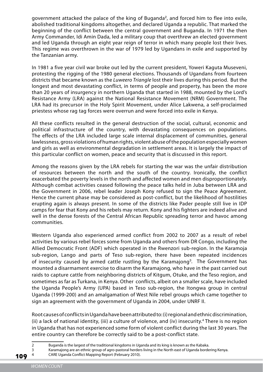government attacked the palace of the king of Buganda<sup>2</sup>, and forced him to flee into exile, abolished traditional kingdoms altogether, and declared Uganda a republic. That marked the beginning of the conflict between the central government and Buganda. In 1971 the then Army Commander, Idi Amin Dada, led a military coup that overthrew an elected government and led Uganda through an eight year reign of terror in which many people lost their lives. This regime was overthrown in the war of 1979 led by Ugandans in exile and supported by the Tanzanian army.

In 1981 a five year civil war broke out led by the current president, Yoweri Kaguta Museveni, protesting the rigging of the 1980 general elections. Thousands of Ugandans from fourteen districts that became known as the Luweero Triangle lost their lives during this period. But the longest and most devastating conflict, in terms of people and property, has been the more than 20 years of insurgency in northern Uganda that started in 1988, mounted by the Lord's Resistance Army (LRA) against the National Resistance Movement (NRM) Government. The LRA had its precursor in the Holy Spirit Movement, under Alice Lakwena, a self-proclaimed priestess whose rag tag forces were overrun and were forced into exile in Kenya.

All these conflicts resulted in the general destruction of the social, cultural, economic and political infrastructure of the country, with devastating consequences on populations. The effects of the LRA included large scale internal displacement of communities, general lawlessness, gross violations of human rights, violent abuse of the population especially women and girls as well as environmental degradation in settlement areas. It is largely the impact of this particular conflict on women, peace and security that is discussed in this report.

Among the reasons given by the LRA rebels for starting the war was the unfair distribution of resources between the north and the south of the country. Ironically, the conflict exacerbated the poverty levels in the north and affected women and men disproportionately. Although combat activities ceased following the peace talks held in Juba between LRA and the Government in 2006, rebel leader Joseph Kony refused to sign the Peace Agreement. Hence the current phase may be considered as post-conflict, but the likelihood of hostilities erupting again is always present. In some of the districts like Pader people still live in IDP camps for fear that Kony and his rebels may return. Kony and his fighters are indeed alive and well in the dense forests of the Central African Republic spreading terror and havoc among communities.

Western Uganda also experienced armed conflict from 2002 to 2007 as a result of rebel activities by various rebel forces some from Uganda and others from DR Congo, including the Allied Democratic Front (ADF) which operated in the Rwenzori sub-region. In the Karamoja sub-region, Lango and parts of Teso sub-region, there have been repeated incidences of insecurity caused by armed cattle rustling by the Karamajong<sup>3</sup>. The Government has mounted a disarmament exercise to disarm the Karamajong, who have in the past carried out raids to capture cattle from neighboring districts of Kitgum, Otuke, and the Teso region, and sometimes as far as Turkana, in Kenya. Other conflicts, albeit on a smaller scale, have included the Uganda People's Army (UPA) based in Teso sub-region, the Itongwa group in central Uganda (1999-200) and an amalgamation of West Nile rebel groups which came together to sign an agreement with the government of Uganda in 2004, under UNRF II.

Root causes of conflicts in Uganda have been attributed to: (i) regional and ethnic discrimination, (ii) a lack of national identity, (iii) a culture of violence, and (iv) insecurity.<sup>4</sup> There is no region in Uganda that has not experienced some form of violent conflict during the last 30 years. The entire country can therefore be correctly said to be a post-conflict state.

- 2 Buganda is the largest of the traditional kingdoms in Uganda and its king is known as the Kabaka.
- 3 Karamajong are an ethnic group of agro-pastoral herders living in the North east of Uganda bordering Kenya.
- 4 CARE Uganda Conflict Mapping Report (February 2010).

109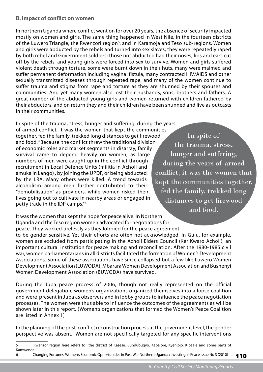#### **B. Impact of conflict on women**

In northern Uganda where conflict went on for over 20 years, the absence of security impacted mostly on women and girls. The same thing happened in West Nile, in the fourteen districts of the Luwero Triangle, the Rwenzori region<sup>5</sup>, and in Karamoja and Teso sub-regions. Women and girls were abducted by the rebels and turned into sex slaves; they were repeatedly raped by both rebel and Government soldiers; those not abducted had their noses, lips and ears cut off by the rebels, and young girls were forced into sex to survive. Women and girls suffered violent death through torture, some were burnt down in their huts, many were maimed and suffer permanent deformation including vaginal fistula, many contracted HIV/AIDS and other sexually transmitted diseases through repeated rape, and many of the women continue to suffer trauma and stigma from rape and torture as they are shunned by their spouses and communities. And yet many women also lost their husbands, sons, brothers and fathers. A great number of the abducted young girls and women returned with children fathered by their abductors, and on return they and their children have been shunned and live as outcasts in their communities.

In spite of the trauma, stress, hunger and suffering, during the years of armed conflict, it was the women that kept the communities together, fed the family, trekked long distances to get firewood and food. "Because the conflict threw the traditional division of economic roles and market segments in disarray, family survival came to depend heavily on women, as large numbers of men were caught up in the conflict through recruitment in Local Defence Units (militia in Acholi and amuka in Lango) , by joining the UPDF, or being abducted by the LRA. Many others were killed. A trend towards alcoholism among men further contributed to their "demobilisation" as providers, while women risked their lives going out to cultivate in nearby areas or engaged in petty trade in the IDP camps."<sup>6</sup>

In spite of the trauma, stress, hunger and suffering, during the years of armed conflict, it was the women that kept the communities together, fed the family, trekked long distances to get firewood and food.

It was the women that kept the hope for peace alive. In Northern Uganda and the Teso region women advocated for negotiations for peace. They worked tirelessly as they lobbied for the peace agreement to be gender sensitive. Yet their efforts are often not acknowledged. In Gulu, for example, women are excluded from participating in the Acholi Elders Council (Ker Kwaro Acholi), an important cultural institution for peace making and reconciliation. After the 1980-1985 civil war, women parliamentarians in all districts facilitated the formation of Women's Development Associations. Some of these associations have since collapsed but a few like Luwero Women Development Association (LUWODA), Mbarara Women Development Association and Bushenyi Women Development Association (BUWODA) have survived.

During the Juba peace process of 2006, though not really represented on the official government delegation, women's organizations organized themselves into a loose coalition and were present in Juba as observers and in lobby groups to influence the peace negotiation processes. The women were thus able to influence the outcomes of the agreements as will be shown later in this report. (Women's organizations that formed the Women's Peace Coalition are listed in Annex 1)

In the planning of the post-conflict reconstruction process at the government level, the gender perspective was absent. Women are not specifically targeted for any specific interventions

<sup>5</sup> Rwenzor region here refers to the district of Kasese, Bundubugyo, Kabalore, Kyenjojo, Kibaale and some parts of Kamwenge

<sup>110</sup> 6 Changing Fortunes: Women's Economic Opportunities in Post War Northern Uganda : Investing in Peace Issue No 3 (2010)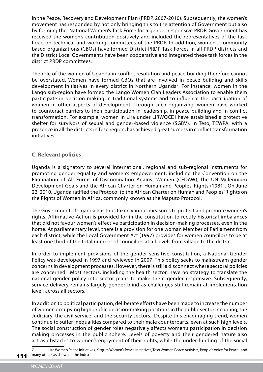in the Peace, Recovery and Development Plan (PRDP, 2007-2010). Subsequently, the women's movement has responded by not only bringing this to the attention of Government but also by forming the National Women's Task Force for a gender responsive PRDP. Government has received the women's contribution positively and included the representatives of the task force on technical and working committees of the PRDP. In addition, women's community based organizations (CBOs) have formed District PRDP Task Forces in all PRDP districts and the District Local Governments have been cooperative and integrated these task forces in the district PRDP committees.

The role of the women of Uganda in conflict resolution and peace building therefore cannot be overstated. Women have formed CBOs that are involved in peace building and skills development initiatives in every district in Northern Uganda<sup>7</sup>. For instance, women in the Lango sub-region have formed the Lango Women Clan Leaders Association to enable them participate in decision making in traditional systems and to influence the participation of women in other aspects of development. Through such organizing, women have worked to counteract barriers to their participation in leadership, in peace building and in conflict transformation. For example, women in Lira under LIRWOCDI have established a protective shelter for survivors of sexual and gender-based violence (SGBV). In Teso, TEWPA, with a presence in all the districts in Teso region, has achieved great success in conflict transformation initiatives.

#### **C. Relevant policies**

Uganda is a signatory to several international, regional and sub-regional instruments for promoting gender equality and women's empowerment; including the Convention on the Elimination of All Forms of Discrimination Against Women (CEDAW), the UN Millennium Development Goals and the African Charter on Human and Peoples' Rights (1981). On June 22, 2010, Uganda ratified the Protocol to the African Charter on Human and Peoples' Rights on the Rights of Women in Africa, commonly known as the Maputo Protocol.

The Government of Uganda has thus taken various measures to protect and promote women's rights. Affirmative Action is provided for in the constitution to rectify historical imbalances that did not favour women's effective participation in decision-making processes, even in the home. At parliamentary level, there is a provision for one woman Member of Parliament from each district, while the Local Government Act (1997) provides for women councilors to be at least one third of the total number of councilors at all levels from village to the district.

In order to implement provisions of the gender sensitive constitution, a National Gender Policy was developed in 1997 and reviewed in 2007. This policy seeks to mainstream gender concerns in development processes. However, there is still a disconnect where sectoral policies are concerned. Most sectors, including the health sector, have no strategy to translate the national gender policy into sector plans to make them gender responsive. Subsequently, service delivery remains largely gender blind as challenges still remain at implementation level, across all sectors.

In addition to political participation, deliberate efforts have been made to increase the number of women occupying high profile decision-making positions in the public sector including, the Judiciary, the civil service and the security sectors. Despite this encouraging trend, women continue to suffer inequalities compared to their male counterparts, even at such high levels. The social construction of gender roles negatively affects women's participation in decision making processes in the public sphere. Levels of poverty and their gendered nature also act as obstacles to women's enjoyment of their rights, while the under-funding of the social

111 7 Lira Women Peace Initiatives, Kitgum Women's Peace Initiatives, Teso Women Peace Activists, People's Voice for Peace, and many others as shown in the index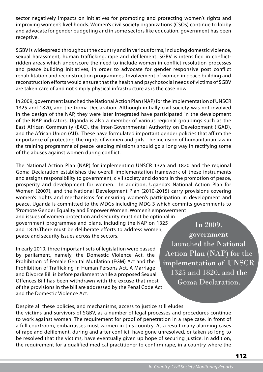sector negatively impacts on initiatives for promoting and protecting women's rights and improving women's livelihoods. Women's civil society organizations (CSOs) continue to lobby and advocate for gender budgeting and in some sectors like education, government has been receptive.

SGBV is widespread throughout the country and in various forms, including domestic violence, sexual harassment, human trafficking, rape and defilement. SGBV is intensified in conflictridden areas which underscore the need to include women in conflict resolution processes and peace building initiatives, in order to advocate for gender responsive post conflict rehabilitation and reconstruction programmes. Involvement of women in peace building and reconstruction efforts would ensure that the health and psychosocial needs of victims of SGBV are taken care of and not simply physical infrastructure as is the case now.

In 2009, government launched the National Action Plan (NAP) for the implementation of UNSCR 1325 and 1820, and the Goma Declaration. Although initially civil society was not involved in the design of the NAP, they were later integrated have participated in the development of the NAP indicators. Uganda is also a member of various regional groupings such as the East African Community (EAC), the Inter-Governmental Authority on Development (IGAD), and the African Union (AU). These have formulated important gender policies that affirm the importance of protecting the rights of women and girls. The inclusion of humanitarian law in the training programme of peace keeping missions should go a long way in rectifying some of the abuses against women during conflict.

The National Action Plan (NAP) for implementing UNSCR 1325 and 1820 and the regional Goma Declaration establishes the overall implementation framework of these instruments and assigns responsibility to government, civil society and donors in the promotion of peace, prosperity and development for women. In addition, Uganda's National Action Plan for Women (2007), and the National Development Plan (2010-2015) carry provisions covering women's rights and mechanisms for ensuring women's participation in development and peace. Uganda is committed to the MDGs including MDG 3 which commits governments to 'Promote Gender Equality and Empower Women. Women's empowerment

and issues of women protection and security must not be optional in government programmes and plans, including the NAP on 1325 and 1820.There must be deliberate efforts to address women, peace and security issues across the sectors.

In early 2010, three important sets of legislation were passed by parliament, namely, the Domestic Violence Act, the Prohibition of Female Genital Mutilation (FGM) Act and the Prohibition of Trafficking in Human Persons Act. A Marriage and Divorce Bill is before parliament while a proposed Sexual Offences Bill has been withdrawn with the excuse that most of the provisions in the bill are addressed by the Penal Code Act and the Domestic Violence Act.

In 2009, government launched the National Action Plan (NAP) for the implementation of UNSCR 1325 and 1820, and the Goma Declaration.

Despite all these policies, and mechanisms, access to justice still eludes the victims and survivors of SGBV, as a number of legal processes and procedures continue to work against women. The requirement for proof of penetration in a rape case, in front of a full courtroom, embarrasses most women in this country. As a result many alarming cases of rape and defilement, during and after conflict, have gone unresolved, or taken so long to be resolved that the victims, have eventually given up hope of securing justice. In addition, the requirement for a qualified medical practitioner to confirm rape, in a country where the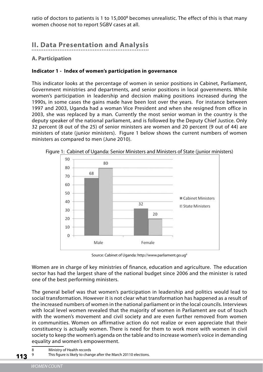ratio of doctors to patients is 1 to 15,000<sup>8</sup> becomes unrealistic. The effect of this is that many women choose not to report SGBV cases at all.

## **II. Data Presentation and Analysis**

#### **A. Participation**

#### **Indicator 1 - Index of women's participation in governance**

This indicator looks at the percentage of women in senior positions in Cabinet, Parliament, Government ministries and departments, and senior positions in local governments. While women's participation in leadership and decision making positions increased during the 1990s, in some cases the gains made have been lost over the years. For instance between 1997 and 2003, Uganda had a woman Vice President and when she resigned from office in 2003, she was replaced by a man. Currently the most senior woman in the country is the deputy speaker of the national parliament, and is followed by the Deputy Chief Justice. Only 32 percent (8 out of the 25) of senior ministers are women and 20 percent (9 out of 44) are ministers of state (junior ministers). Figure 1 below shows the current numbers of women ministers as compared to men (June 2010).



Figure 1: Cabinet of Uganda: Senior Ministers and Ministers of State (junior ministers)

Source: Cabinet of Uganda: http://www.parliament.go.ug9

Women are in charge of key ministries of finance, education and agriculture. The education sector has had the largest share of the national budget since 2006 and the minister is rated one of the best performing ministers.

The general belief was that women's participation in leadership and politics would lead to social transformation. However it is not clear what transformation has happened as a result of the increased numbers of women in the national parliament or in the local councils. Interviews with local level women revealed that the majority of women in Parliament are out of touch with the women's movement and civil society and are even further removed from women in communities. Women on affirmative action do not realize or even appreciate that their constituency is actually women. There is need for them to work more with women in civil society to keep the women's agenda on the table and to increase women's voice in demanding equality and women's empowerment.

- 8 Ministry of Health records
- 113 9 This figure is likely to change after the March 20110 elections.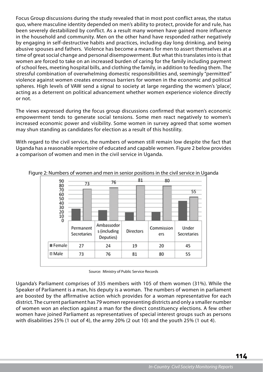Focus Group discussions during the study revealed that in most post conflict areas, the status quo, where masculine identity depended on men's ability to protect, provide for and rule, has been severely destabilized by conflict. As a result many women have gained more influence in the household and community. Men on the other hand have responded rather negatively by engaging in self-destructive habits and practices, including day long drinking, and being abusive spouses and fathers. Violence has become a means for men to assert themselves at a time of great social change and personal disempowerment. But what this translates into is that women are forced to take on an increased burden of caring for the family including payment of school fees, meeting hospital bills, and clothing the family, in addition to feeding them. The stressful combination of overwhelming domestic responsibilities and, seemingly "permitted" violence against women creates enormous barriers for women in the economic and political spheres. High levels of VAW send a signal to society at large regarding the women's 'place', acting as a deterrent on political advancement whether women experience violence directly or not.

The views expressed during the focus group discussions confirmed that women's economic empowerment tends to generate social tensions. Some men react negatively to women's increased economic power and visibility. Some women in survey agreed that some women may shun standing as candidates for election as a result of this hostility.

With regard to the civil service, the numbers of women still remain low despite the fact that Uganda has a reasonable repertoire of educated and capable women. Figure 2 below provides a comparison of women and men in the civil service in Uganda.



Figure 2: Numbers of women and men in senior positions in the civil service in Uganda

Uganda's Parliament comprises of 335 members with 105 of them women (31%). While the Speaker of Parliament is a man, his deputy is a woman. The numbers of women in parliament are boosted by the affirmative action which provides for a woman representative for each district. The current parliament has 79 women representing districts and only a smaller number of women won an election against a man for the direct constituency elections. A few other women have joined Parliament as representatives of special interest groups such as persons with disabilities 25% (1 out of 4), the army 20% (2 out 10) and the youth 25% (1 out 4).

Source: Ministry of Public Service Records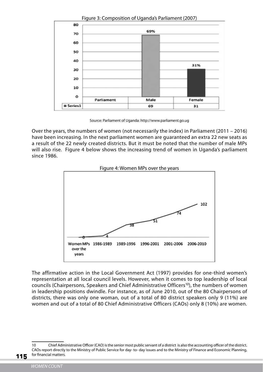

Source: Parliament of Uganda: http://www.parliament.go.ug

Over the years, the numbers of women (not necessarily the index) in Parliament (2011 – 2016) have been increasing. In the next parliament women are guaranteed an extra 22 new seats as a result of the 22 newly created districts. But it must be noted that the number of male MPs will also rise. Figure 4 below shows the increasing trend of women in Uganda's parliament since 1986.



The affirmative action in the Local Government Act (1997) provides for one-third women's representation at all local council levels. However, when it comes to top leadership of local councils (Chairpersons, Speakers and Chief Administrative Officers<sup>10</sup>), the numbers of women in leadership positions dwindle. For instance, as of June 2010, out of the 80 Chairpersons of districts, there was only one woman, out of a total of 80 district speakers only 9 (11%) are women and out of a total of 80 Chief Administrative Officers (CAOs) only 8 (10%) are women.

115

<sup>10</sup> Chief Administrative Officer (CAO) is the senior most public servant of a district is also the accounting officer of the district. CAOs report directly to the Ministry of Public Service for day- to- day issues and to the Ministry of Finance and Economic Planning, for financial matters.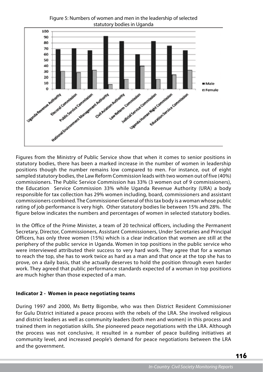Figure 5: Numbers of women and men in the leadership of selected statutory bodies in Uganda



Figures from the Ministry of Public Service show that when it comes to senior positions in statutory bodies, there has been a marked increase in the number of women in leadership positions though the number remains low compared to men. For instance, out of eight sampled statutory bodies, the Law Reform Commission leads with two women out of five (40%) commissioners. The Public Service Commission has 33% (3 women out of 9 commissioners), the Education Service Commission 33% while Uganda Revenue Authority (URA) a body responsible for tax collection has 29% women including, board, commissioners and assistant commissioners combined. The Commissioner General of this tax body is a woman whose public rating of job performance is very high. Other statutory bodies lie between 15% and 28%. The figure below indicates the numbers and percentages of women in selected statutory bodies.

In the Office of the Prime Minister, a team of 20 technical officers, including the Permanent Secretary, Director, Commissioners, Assistant Commissioners, Under Secretaries and Principal Officers, has only three women (15%) which is a clear indication that women are still at the periphery of the public service in Uganda. Women in top positions in the public service who were interviewed attributed their success to very hard work. They agree that for a woman to reach the top, she has to work twice as hard as a man and that once at the top she has to prove, on a daily basis, that she actually deserves to hold the position through even harder work. They agreed that public performance standards expected of a woman in top positions are much higher than those expected of a man.

#### **Indicator 2 - Women in peace negotiating teams**

During 1997 and 2000, Ms Betty Bigombe, who was then District Resident Commissioner for Gulu District initiated a peace process with the rebels of the LRA. She involved religious and district leaders as well as community leaders (both men and women) in this process and trained them in negotiation skills. She pioneered peace negotiations with the LRA. Although the process was not conclusive, it resulted in a number of peace building initiatives at community level, and increased people's demand for peace negotiations between the LRA and the government.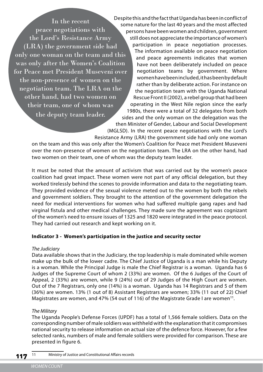In the recent peace negotiations with the Lord's Resistance Army (LRA) the government side had only one woman on the team and this was only after the Women's Coalition for Peace met President Museveni over the non-presence of women on the negotiation team. The LRA on the other hand, had two women on their team, one of whom was the deputy team leader.

Despite this and the fact that Uganda has been in conflict of some nature for the last 40 years and the most affected persons have been women and children, government still does not appreciate the importance of women's participation in peace negotiation processes. The information available on peace negotiation and peace agreements indicates that women have not been deliberately included on peace negotiation teams by government. Where women have been included, it has been by default rather than by deliberate action. For instance on the negotiation team with the Uganda National Rescue Front II (2002), a rebel group that had been operating in the West Nile region since the early 1980s, there were a total of 32 delegates from both

sides and the only woman on the delegation was the then Minister of Gender, Labour and Social Development (MGLSD). In the recent peace negotiations with the Lord's Resistance Army (LRA) the government side had only one woman

on the team and this was only after the Women's Coalition for Peace met President Museveni over the non-presence of women on the negotiation team. The LRA on the other hand, had two women on their team, one of whom was the deputy team leader.

It must be noted that the amount of activism that was carried out by the women's peace coalition had great impact. These women were not part of any official delegation, but they worked tirelessly behind the scenes to provide information and data to the negotiating team. They provided evidence of the sexual violence meted out to the women by both the rebels and government soldiers. They brought to the attention of the government delegation the need for medical interventions for women who had suffered multiple gang rapes and had virginal fistula and other medical challenges. They made sure the agreement was cognizant of the women's need to ensure issues of 1325 and 1820 were integrated in the peace protocol. They had carried out research and kept working on it.

#### **Indicator 3 - Women's participation in the justice and security sector**

#### The Judiciary

Data available shows that in the Judiciary, the top leadership is male dominated while women make up the bulk of the lower cadre. The Chief Justice of Uganda is a man while his Deputy is a woman. While the Principal Judge is male the Chief Registrar is a woman. Uganda has 6 Judges of the Supreme Court of whom 2 (33%) are women. Of the 6 Judges of the Court of Appeal, 2 (33%) are women, while 9 (24%) out of 29 Judges of the High Court are women. Out of the 7 Registrars, only one (14%) is a woman. Uganda has 14 Registrars and 5 of them (36%) are women. 13% (1 out of 8) Assistant Registrars are women; 33% (11 out of 22) Chief Magistrates are women, and 47% (54 out of 116) of the Magistrate Grade I are women<sup>11</sup>.

#### The Military

The Uganda People's Defense Forces (UPDF) has a total of 1,566 female soldiers. Data on the corresponding number of male soldiers was withheld with the explanation that it compromises national security to release information on actual size of the defence force. However, for a few selected ranks, numbers of male and female soldiers were provided for comparison. These are presented in figure 6.

117 11 Ministry of Justice and Constitutional Affairs records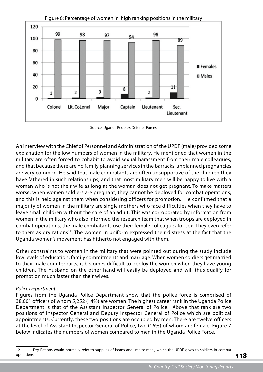

Figure 6: Percentage of women in high ranking positions in the military

Source: Uganda People's Defence Forces

An interview with the Chief of Personnel and Administration of the UPDF (male) provided some explanation for the low numbers of women in the military. He mentioned that women in the military are often forced to cohabit to avoid sexual harassment from their male colleagues, and that because there are no family planning services in the barracks, unplanned pregnancies are very common. He said that male combatants are often unsupportive of the children they have fathered in such relationships, and that most military men will be happy to live with a woman who is not their wife as long as the woman does not get pregnant. To make matters worse, when women soldiers are pregnant, they cannot be deployed for combat operations, and this is held against them when considering officers for promotion. He confirmed that a majority of women in the military are single mothers who face difficulties when they have to leave small children without the care of an adult. This was corroborated by information from women in the military who also informed the research team that when troops are deployed in combat operations, the male combatants use their female colleagues for sex. They even refer to them as dry rations<sup>12</sup>. The women in uniform expressed their distress at the fact that the Uganda women's movement has hitherto not engaged with them.

Other constraints to women in the military that were pointed out during the study include low levels of education, family commitments and marriage. When women soldiers get married to their male counterparts, it becomes difficult to deploy the women when they have young children. The husband on the other hand will easily be deployed and will thus qualify for promotion much faster than their wives.

#### Police Department

Figures from the Uganda Police Department show that the police force is comprised of 38,001 officers of whom 5,252 (14%) are women. The highest career rank in the Uganda Police Department is that of the Assistant Inspector General of Police. Above that rank are two positions of Inspector General and Deputy Inspector General of Police which are political appointments. Currently, these two positions are occupied by men. There are twelve officers at the level of Assistant Inspector General of Police, two (16%) of whom are female. Figure 7 below indicates the numbers of women compared to men in the Uganda Police Force.

<sup>12</sup> Dry Rations would normally refer to supplies of beans and maize meal, which the UPDF gives to soldiers in combat operations.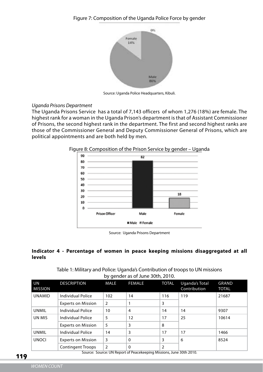

Source: Uganda Police Headquarters, Kibuli.

#### Uganda Prisons Department

The Uganda Prisons Service has a total of 7,143 officers of whom 1,276 (18%) are female. The highest rank for a woman in the Uganda Prison's department is that of Assistant Commissioner of Prisons, the second highest rank in the department. The first and second highest ranks are those of the Commissioner General and Deputy Commissioner General of Prisons, which are political appointments and are both held by men.



Figure 8: Composition of the Prison Service by gender – Uganda

#### **Indicator 4 - Percentage of women in peace keeping missions disaggregated at all levels**

Table 1: Military and Police: Uganda's Contribution of troops to UN missions by gender as of June 30th, 2010.

| UN<br><b>MISSION</b> | <b>DESCRIPTION</b>        | MALE | <b>FEMALE</b> | <b>TOTAL</b> | <b>Uganda's Total</b><br>Contribution | <b>GRAND</b><br><b>TOTAL</b> |  |
|----------------------|---------------------------|------|---------------|--------------|---------------------------------------|------------------------------|--|
| <b>UNAMID</b>        | Individual Police         | 102  | 14            | 116          | 119                                   | 21687                        |  |
|                      | <b>Experts on Mission</b> | 2    |               | 3            |                                       |                              |  |
| UNMIL                | Individual Police         | 10   | 4             | 14           | 14                                    | 9307                         |  |
| UN MIS               | Individual Police         | 5    | 12            | 17           | 25                                    | 10614                        |  |
|                      | <b>Experts on Mission</b> | 5    | 3             | 8            |                                       |                              |  |
| <b>UNMIL</b>         | Individual Police         | 14   | 3             | 17           | 17                                    | 1466                         |  |
| <b>UNOCI</b>         | <b>Experts on Mission</b> | 3    | $\Omega$      | 3            | 6                                     | 8524                         |  |
|                      | <b>Contingent Troops</b>  | 2    | $\Omega$      | 2            |                                       |                              |  |

119

Source: Uganda Prisons Department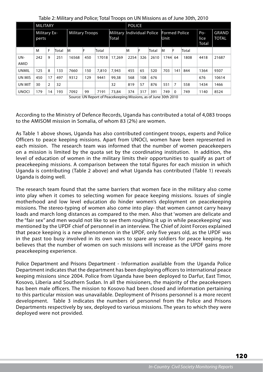|              | <b>MILITARY</b>                                        |                |       |                                      |     |       | <b>POLICE</b> |                              |     |       |                        |                       |       |      |       |
|--------------|--------------------------------------------------------|----------------|-------|--------------------------------------|-----|-------|---------------|------------------------------|-----|-------|------------------------|-----------------------|-------|------|-------|
|              | <b>Military Ex-</b><br><b>Military Troops</b><br>perts |                |       | Military  Individual Police<br>Total |     |       |               | <b>Formed Police</b><br>Unit |     |       | $Po-$<br>lice<br>Total | GRAND<br><b>TOTAL</b> |       |      |       |
|              | M                                                      | F              | Total | M                                    |     | Total |               | ΙM                           | F   | Total | M                      | F                     | Total |      |       |
| UN-          | 242                                                    | 9              | 251   | 16568                                | 450 | 17018 | 17,269        | 2254                         | 326 | 2610  | 1744                   | 64                    | 1808  | 4418 | 21687 |
| AMID         |                                                        |                |       |                                      |     |       |               |                              |     |       |                        |                       |       |      |       |
| <b>UNMIL</b> | 125                                                    | 8              | 133   | 7660                                 | 150 | 7,810 | 7.943         | 455                          | 65  | 520   | 703                    | 141                   | 844   | 1364 | 9307  |
| UN MIS       | 450                                                    | 17             | 497   | 9312                                 | 129 | 9441  | 99,38         | 568                          | 108 | 676   |                        |                       |       | 676  | 10614 |
| UN MIT       | 30                                                     | $\overline{2}$ | 32    |                                      |     |       | 32            | 819                          | 57  | 876   | 551                    | 7                     | 558   | 1434 | 1466  |
| <b>UNOCI</b> | 179                                                    | 14             | 193   | 7092                                 | 99  | 7191  | 73,84         | 374                          | 317 | 391   | 749                    | 0                     | 749   | 1140 | 8524  |

Table 2: Military and Police; Total Troops on UN Missions as of June 30th, 2010

Source: UN Report of Peacekeeping Missions, as of June 30th 2010

According to the Ministry of Defence Records, Uganda has contributed a total of 4,083 troops to the AMISOM mission in Somalia, of whom 83 (2%) are women.

As Table 1 above shows, Uganda has also contributed contingent troops, experts and Police Officers to peace keeping missions. Apart from UNOCI, women have been represented in each mission. The research team was informed that the number of women peacekeepers on a mission is limited by the quota set by the coordinating institution. In addition, the level of education of women in the military limits their opportunities to qualify as part of peacekeeping missions. A comparison between the total figures for each mission in which Uganda is contributing (Table 2 above) and what Uganda has contributed (Table 1) reveals Uganda is doing well.

The research team found that the same barriers that women face in the military also come into play when it comes to selecting women for peace keeping missions. Issues of single motherhood and low level education do hinder women's deployment on peacekeeping missions. The stereo-typing of women also come into play- that women cannot carry heavy loads and march long distances as compared to the men. Also that 'women are delicate and the "fair sex" and men would not like to see them roughing it up in while peacekeeping' was mentioned by the UPDF chief of personnel in an interview. The Chief of Joint Forces explained that peace keeping is a new phenomenon in the UPDF, only five years old, as the UPDF was in the past too busy involved in its own wars to spare any soldiers for peace keeping. He believes that the number of women on such missions will increase as the UPDF gains more peacekeeping experience.

Police Department and Prisons Department - Information available from the Uganda Police Department indicates that the department has been deploying officers to international peace keeping missions since 2004. Police from Uganda have been deployed to Darfur, East Timor, Kosovo, Liberia and Southern Sudan. In all the missioners, the majority of the peacekeepers has been male officers. The mission to Kosovo had been closed and information pertaining to this particular mission was unavailable. Deployment of Prisons personnel is a more recent development. Table 3 indicates the numbers of personnel from the Police and Prisons Departments respectively by sex, deployed to various missions. The years to which they were deployed were not provided.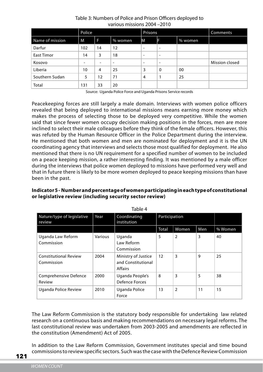|                 | Police                   |     |                          | <b>Prisons</b>           |                          |         | Comments       |
|-----------------|--------------------------|-----|--------------------------|--------------------------|--------------------------|---------|----------------|
| Name of mission | M                        | l F | % women                  | M                        | F                        | % women |                |
| Darfur          | 102                      | 14  | 12                       | $\overline{\phantom{0}}$ | $\overline{\phantom{a}}$ |         |                |
| East Timor      | 14                       | 3   | 18                       | ۰                        | $\overline{\phantom{a}}$ |         |                |
| Kosovo          | $\overline{\phantom{a}}$ |     | $\overline{\phantom{a}}$ | $\overline{\phantom{a}}$ | $\overline{\phantom{a}}$ |         | Mission closed |
| Liberia         | 10                       | 4   | 25                       | 3                        | $\mathbf 0$              | 00      |                |
| Southern Sudan  | 5                        | 12  | 71                       | 4                        |                          | 25      |                |
| Total           | 131                      | 33  | 20                       |                          |                          |         |                |

#### Table 3: Numbers of Police and Prison Officers deployed to various missions 2004 –2010

Source: Uganda Police Force and Uganda Prisons Service records

Peacekeeping forces are still largely a male domain. Interviews with women police officers revealed that being deployed to international missions means earning more money which makes the process of selecting those to be deployed very competitive. While the women said that since fewer women occupy decision making positions in the forces, men are more inclined to select their male colleagues before they think of the female officers. However, this was refuted by the Human Resource Officer in the Police Department during the interview. He mentioned that both women and men are nominated for deployment and it is the UN coordinating agency that interviews and selects those most qualified for deployment. He also mentioned that there is no UN requirement for a specified number of women to be included on a peace keeping mission, a rather interesting finding. It was mentioned by a male officer during the interviews that police women deployed to missions have performed very well and that in future there is likely to be more women deployed to peace keeping missions than have been in the past.

#### **Indicator 5 - Number and percentage of women participating in each type of constitutional or legislative review (including security sector review)**

|                                            | Table 4 |                                                             |               |                |     |         |
|--------------------------------------------|---------|-------------------------------------------------------------|---------------|----------------|-----|---------|
| Nature/type of legislative<br>review       | Year    | Coordinating<br>institution                                 | Participation |                |     |         |
|                                            |         |                                                             | Total         | Women          | Men | % Women |
| Uganda Law Reform<br>Commission            | Various | Uganda<br>Law Reform<br>Commission                          | 5             | $\overline{2}$ | 3   | 40      |
| <b>Constitutional Review</b><br>Commission | 2004    | Ministry of Justice<br>and Constitutional<br><b>Affairs</b> | 12            | 3              | 9   | 25      |
| Comprehensive Defence<br>Review            | 2000    | Uganda People's<br>Defence Forces                           | 8             | 3              | 5   | 38      |
| Uganda Police Review                       | 2010    | Uganda Police<br>Force                                      | 13            | $\overline{2}$ | 11  | 15      |

The Law Reform Commission is the statutory body responsible for undertaking law related research on a continuous basis and making recommendations on necessary legal reforms. The last constitutional review was undertaken from 2003-2005 and amendments are reflected in the constitution (Amendment) Act of 2005.

In addition to the Law Reform Commission, Government institutes special and time bound commissions to review specific sectors. Such was the case with the Defence Review Commission

121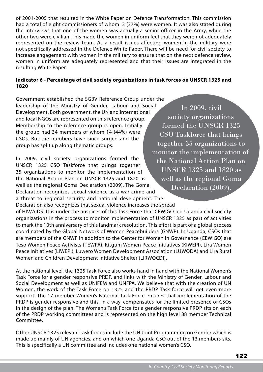of 2001-2005 that resulted in the White Paper on Defence Transformation. This commission had a total of eight commissioners of whom 3 (37%) were women. It was also stated during the interviews that one of the women was actually a senior officer in the Army, while the other two were civilian. This made the women in uniform feel that they were not adequately represented on the review team. As a result issues affecting women in the military were not specifically addressed in the Defence White Paper. There will be need for civil society to increase engagement with women in the military to ensure that on the next defence review, women in uniform are adequately represented and that their issues are integrated in the resulting White Paper.

#### **Indicator 6 - Percentage of civil society organizations in task forces on UNSCR 1325 and 1820**

Government established the SGBV Reference Group under the leadership of the Ministry of Gender, Labour and Social Development. Both government, the UN and international and local NGOs are represented on this reference group. Membership to the reference group is open. Initially the group had 34 members of whom 14 (44%) were CSOs. But the numbers have since surged and the group has split up along thematic groups.

In 2009, civil society organizations formed the UNSCR 1325 CSO Taskforce that brings together 35 organizations to monitor the implementation of the National Action Plan on UNSCR 1325 and 1820 as well as the regional Goma Declaration (2009). The Goma Declaration recognizes sexual violence as a war crime and a threat to regional security and national development. The Declaration also recognizes that sexual violence increases the spread of HIV/AIDS. It is under the auspices of this Task Force that CEWIGO led Uganda civil society organizations in the process to monitor implementation of UNSCR 1325 as part of activities to mark the 10th anniversary of this landmark resolution. This effort is part of a global process coordinated by the Global Network of Women Peacebuilders (GNWP). In Uganda, CSOs that are members of the GNWP in addition to the Center for Women in Governance (CEWIGO) are

Teso Women Peace Activists (TEWPA), Kitgum Women Peace Initiatives (KIWEPI), Lira Women Peace Initiatives (LIWEPI), Luwero Women Development Association (LUWODA) and Lira Rural Women and Children Development Initiative Shelter (LIRWOCDI).

At the national level, the 1325 Task Force also works hand in hand with the National Women's Task Force for a gender responsive PRDP, and links with the Ministry of Gender, Labour and Social Development as well as UNIFEM and UNFPA. We believe that with the creation of UN Women, the work of the Task Force on 1325 and the PRDP Task force will get even more support. The 17 member Women's National Task Force ensures that implementation of the PRDP is gender responsive and this, in a way, compensates for the limited presence of CSOs in the design of the plan. The Women's Task Force for a gender responsive PRDP sits on each of the PRDP working committees and is represented on the high level 88 member Technical Committee.

Other UNSCR 1325 relevant task forces include the UN Joint Programming on Gender which is made up mainly of UN agencies, and on which one Uganda CSO out of the 13 members sits. This is specifically a UN committee and includes one national women's CSO.

In 2009, civil society organizations formed the UNSCR 1325 CSO Taskforce that brings together 35 organizations to monitor the implementation of the National Action Plan on UNSCR 1325 and 1820 as well as the regional Goma Declaration (2009).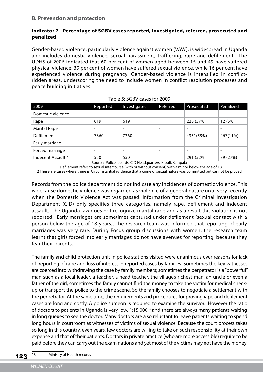#### **B. Prevention and protection**

#### **Indicator 7 - Percentage of SGBV cases reported, investigated, referred, prosecuted and penalized**

Gender-based violence, particularly violence against women (VAW), is widespread in Uganda and includes domestic violence, sexual harassment, trafficking, rape and defilement. The UDHS of 2006 indicated that 60 per cent of women aged between 15 and 49 have suffered physical violence, 39 per cent of women have suffered sexual violence, while 16 per cent have experienced violence during pregnancy. Gender-based violence is intensified in conflictridden areas, underscoring the need to include women in conflict resolution processes and peace building initiatives.

| 2009                          | Reported                 | Investigated                    | Referred                 | Prosecuted               | Penalized                |
|-------------------------------|--------------------------|---------------------------------|--------------------------|--------------------------|--------------------------|
| <b>Domestic Violence</b>      |                          | ۰                               | $\overline{\phantom{a}}$ |                          | $\overline{\phantom{a}}$ |
| Rape                          | 619                      | 619                             |                          | 228 (37%)                | 12 (5%)                  |
| <b>Marital Rape</b>           | $\overline{\phantom{0}}$ | $\overline{\phantom{0}}$        | $\overline{\phantom{a}}$ | $\overline{\phantom{0}}$ | $\overline{\phantom{0}}$ |
| Defilement <sup>1</sup>       | 7360                     | 7360                            | $\overline{\phantom{a}}$ | 4351(59%)                | 467(11%)                 |
| Early marriage                | $\overline{\phantom{0}}$ | $\overline{\phantom{0}}$        | $\overline{\phantom{a}}$ | $\overline{\phantom{0}}$ | $\overline{\phantom{a}}$ |
| Forced marriage               |                          | $\overline{\phantom{a}}$        | $\overline{\phantom{a}}$ | $\overline{\phantom{a}}$ | $\overline{\phantom{a}}$ |
| Indecent Assault <sup>2</sup> | 550<br>$ -$              | 550<br>$\overline{\phantom{a}}$ | $\cdots$                 | 291 (52%)                | 79 (27%)                 |

| Table 5: SGBV cases for 2009 |  |  |
|------------------------------|--|--|
|------------------------------|--|--|

Source: Police records, CID Headquarters, Kibuli, Kampala

1 Defilement refers to sexual intercourse (with or without consent) with a minor below the age of 18

2 These are cases where there is Circumstantial evidence that a crime of sexual nature was committed but cannot be proved

Records from the police department do not indicate any incidences of domestic violence. This is because domestic violence was regarded as violence of a general nature until very recently when the Domestic Violence Act was passed. Information from the Criminal Investigation Department (CID) only specifies three categories, namely rape, defilement and indecent assault. The Uganda law does not recognize marital rape and as a result this violation is not reported. Early marriages are sometimes captured under defilement (sexual contact with a person below the age of 18 years). The research team was informed that reporting of early marriages was very rare. During Focus group discussions with women, the research team learnt that girls forced into early marriages do not have avenues for reporting, because they fear their parents.

The family and child protection unit in police stations visited were unanimous over reasons for lack of reporting of rape and loss of interest in reported cases by families. Sometimes the key witnesses are coerced into withdrawing the case by family members; sometimes the perpetrator is a "powerful" man such as a local leader, a teacher, a head teacher, the village's richest man, an uncle or even a father of the girl; sometimes the family cannot find the money to take the victim for medical checkup or transport the police to the crime scene. So the family chooses to negotiate a settlement with the perpetrator. At the same time, the requirements and procedures for proving rape and defilement cases are long and costly. A police surgeon is required to examine the survivor. However the ratio of doctors to patients in Uganda is very low, 1:15,000<sup>13</sup> and there are always many patients waiting in long queues to see the doctor. Many doctors are also reluctant to leave patients waiting to spend long hours in courtroom as witnesses of victims of sexual violence. Because the court process takes so long in this country, even years, few doctors are willing to take on such responsibility at their own expense and that of their patients. Doctors in private practice (who are more accessible) require to be paid before they can carry out the examinations and yet most of the victims may not have the money.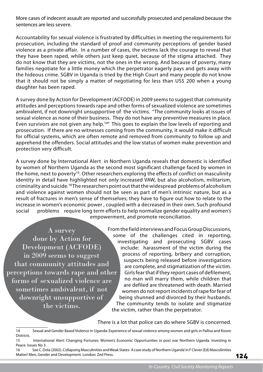More cases of indecent assault are reported and successfully prosecuted and penalized because the sentences are less severe.

Accountability for sexual violence is frustrated by difficulties in meeting the requirements for prosecution, including the standard of proof and community perceptions of gender based violence as a private affair. In a number of cases, the victims lack the courage to reveal that they have been raped, while others just keep quiet, because of the stigma attached. They do not know that they are victims, not the ones in the wrong. And because of poverty, many families negotiate for a little money which the perpetrator eagerly pays and gets away with the hideous crime. SGBV in Uganda is tried by the High Court and many people do not know that it should not be simply a matter of negotiating for less than US\$ 200 when a young daughter has been raped.

A survey done by Action for Development (ACFODE) in 2009 seems to suggest that community attitudes and perceptions towards rape and other forms of sexualized violence are sometimes ambivalent, if not downright unsupportive of the victims. "The community looks at issues of sexual violence as none of their business. They do not have any preventive measures in place. Even survivors are not given any help.<sup>14"</sup> This goes to explain the low levels of reporting and prosecution. If there are no witnesses coming from the community, it would make it difficult for official systems, which are often remote and removed from community to follow up and apprehend the offenders. Social attitudes and the low status of women make prevention and protection very difficult.

A survey done by International Alert in Northern Uganda reveals that domestic is identified by women of Northern Uganda as the second most significant challenge faced by women in the home, next to poverty<sup>15</sup>. Other researchers exploring the effects of conflict on masculinity identity in detail have highlighted not only increased VAW, but also alcoholism, militarism, criminality and suicide.<sup>16</sup> The researchers point out that the widespread problems of alcoholism and violence against women should not be seen as part of men's intrinsic nature, but as a result of fractures in men's sense of themselves; they have to figure out how to relate to the increase in women's economic power , coupled with a decreased in their own. Such profound social problems require long term efforts to help normalize gender equality and women's empowerment, and promote reconciliation.

A survey done by Action for Development (ACFODE) in 2009 seems to suggest that community attitudes and perceptions towards rape and other forms of sexualized violence are sometimes ambivalent, if not downright unsupportive of the victims.

From the field interviews and Focus Group Discussions, some of the challenges cited in reporting, investigating and prosecuting SGBV cases include: harassment of the victim during the process of reporting, bribery and corruption, suspects being released before investigations are complete, and stigmatization of the victim. Girls fear that if they report cases of defilement, no man will marry them, while children that are defiled are threatened with death. Married women do not report incidents of rape for fear of being shunned and divorced by their husbands. The community tends to isolate and stigmatize the victim, rather than the perpetrator.

There is a lot that police can do where SGBV is concerned.

<sup>14</sup> Sexual and Gender Based Violence in Uganda: Experience of sexual violence among women and girls in Pallisa and Kisoro Districts.

<sup>15</sup> International Alert: Changing Fortunes: Women's Economic Opportunities in post war Northern Uganda. Investing in Peace. Issues No 3.

<sup>16</sup> See C. Dola (2002). Collapsing Masculinities and Weak States-A case study of Northern Uganda' in F Clever (Ed) Masculinities Matter! Men, Gender and Development. London: Zed Press.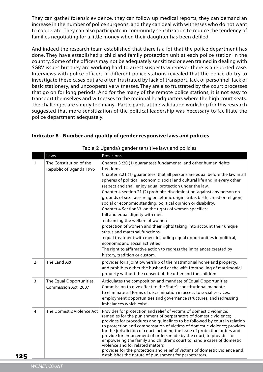They can gather forensic evidence, they can follow up medical reports, they can demand an increase in the number of police surgeons, and they can deal with witnesses who do not want to cooperate. They can also participate in community sensitization to reduce the tendency of families negotiating for a little money when their daughter has been defiled.

And indeed the research team established that there is a lot that the police department has done. They have established a child and family protection unit at each police station in the country. Some of the officers may not be adequately sensitized or even trained in dealing with SGBV issues but they are working hard to arrest suspects whenever there is a reported case. Interviews with police officers in different police stations revealed that the police do try to investigate these cases but are often frustrated by lack of transport, lack of personnel, lack of basic stationery, and uncooperative witnesses. They are also frustrated by the court processes that go on for long periods. And for the many of the remote police stations, it is not easy to transport themselves and witnesses to the regional headquarters where the high court seats. The challenges are simply too many. Participants at the validation workshop for this research suggested that more sensitization of the political leadership was necessary to facilitate the police department adequately.

Table 6: Uganda's gender sensitive laws and policies

|                | Laws                                               | Provisions                                                                                                                                                                                                                                                                                                                                                                                                                                                                                                                                                                                                                                                                                                                                                                                                                                                                                                                                                                                       |
|----------------|----------------------------------------------------|--------------------------------------------------------------------------------------------------------------------------------------------------------------------------------------------------------------------------------------------------------------------------------------------------------------------------------------------------------------------------------------------------------------------------------------------------------------------------------------------------------------------------------------------------------------------------------------------------------------------------------------------------------------------------------------------------------------------------------------------------------------------------------------------------------------------------------------------------------------------------------------------------------------------------------------------------------------------------------------------------|
| 1              | The Constitution of the<br>Republic of Uganda 1995 | Chapter 3 :20 (1) guarantees fundamental and other human rights<br>freedoms<br>Chapter 3:21 (1) guarantees that all persons are equal before the law in all<br>spheres of political, economic, social and cultural life and in every other<br>respect and shall enjoy equal protection under the law.<br>Chapter 4 section 21 (2) prohibits discrimination 'against any person on<br>grounds of sex, race, religion, ethnic origin, tribe, birth, creed or religion,<br>social or economic standing, political opinion or disability.<br>Chapter 4 Section33 on the rights of women specifies:<br>full and equal dignity with men<br>enhancing the welfare of women<br>protection of women and their rights taking into account their unique<br>status and maternal functions<br>equal treatment with men including equal opportunities in political,<br>economic and social activities<br>The right to affirmative action to redress the imbalances created by<br>history, tradition or custom. |
| $\overline{2}$ | The Land Act                                       | provides for a joint ownership of the matrimonial home and property,<br>and prohibits either the husband or the wife from selling of matrimonial<br>property without the consent of the other and the children                                                                                                                                                                                                                                                                                                                                                                                                                                                                                                                                                                                                                                                                                                                                                                                   |
| 3              | The Equal Opportunities<br>Commission Act 2007     | Articulates the composition and mandate of Equal Opportunities<br>Commission to give effect to the State's constitutional mandate<br>to eliminate all forms of discrimination in access to social services,<br>employment opportunities and governance structures, and redressing<br>imbalances which exist                                                                                                                                                                                                                                                                                                                                                                                                                                                                                                                                                                                                                                                                                      |
| 4              | The Domestic Violence Act                          | Provides for protection and relief of victims of domestic violence;<br>remedies for the punishment of perpetrators of domestic violence;<br>provides for procedures and quidelines to be followed by court in relation<br>to protection and compensation of victims of domestic violence; provides<br>for the jurisdiction of court including the issue of protection orders and<br>provide for enforcement of orders made by the court; to provides for<br>empowering the family and children's court to handle cases of domestic<br>violence and for related matters<br>provides for the protection and relief of victims of domestic violence and<br>establishes the nature of punishment for perpetrators.                                                                                                                                                                                                                                                                                   |

#### **Indicator 8 - Number and quality of gender responsive laws and policies**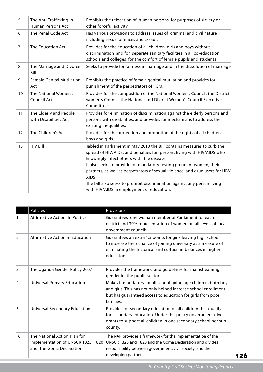| 5              | The Anti-Trafficking in<br><b>Human Persons Act</b> | Prohibits the relocation of human persons for purposes of slavery or<br>other forceful activity                                                                                                                                                                                                                                                                                                                                                                                                |
|----------------|-----------------------------------------------------|------------------------------------------------------------------------------------------------------------------------------------------------------------------------------------------------------------------------------------------------------------------------------------------------------------------------------------------------------------------------------------------------------------------------------------------------------------------------------------------------|
| 6              | The Penal Code Act                                  | Has various provisions to address issues of criminal and civil nature<br>including sexual offences and assault                                                                                                                                                                                                                                                                                                                                                                                 |
| $\overline{7}$ | The Education Act                                   | Provides for the education of all children, girls and boys without<br>discrimination and for separate sanitary facilities in all co-education<br>schools and colleges for the comfort of female pupils and students                                                                                                                                                                                                                                                                            |
| 8              | The Marriage and Divorce<br>Bill                    | Seeks to provide for fairness in marriage and in the dissolution of marriage                                                                                                                                                                                                                                                                                                                                                                                                                   |
| 9              | <b>Female Genital Mutilation</b><br>Act             | Prohibits the practice of female genital mutilation and provides for<br>punishment of the perpetrators of FGM.                                                                                                                                                                                                                                                                                                                                                                                 |
| 10             | The National Women's<br>Council Act                 | Provides for the composition of the National Women's Council, the District<br>women's Council, the National and District Women's Council Executive<br>Committees                                                                                                                                                                                                                                                                                                                               |
| 11             | The Elderly and People<br>with Disabilities Act     | Provides for elimination of discrimination against the elderly persons and<br>persons with disabilities, and provides for mechanisms to address the<br>existing inequalities.                                                                                                                                                                                                                                                                                                                  |
| 12             | The Children's Act                                  | Provides for the protection and promotion of the rights of all children-<br>boys and girls.                                                                                                                                                                                                                                                                                                                                                                                                    |
| 13             | <b>HIV Bill</b>                                     | Tabled in Parliament in May 2010 the Bill contains measures to curb the<br>spread of HIV/AIDS, and penalties for persons living with HIV/AIDS who<br>knowingly infect others with the disease<br>It also seeks to provide for mandatory testing pregnant women, their<br>partners, as well as perpetrators of sexual violence, and drug users for HIV/<br><b>AIDS</b><br>The bill also seeks to prohibit discrimination against any person living<br>with HIV/AIDS in employment or education. |
|                |                                                     |                                                                                                                                                                                                                                                                                                                                                                                                                                                                                                |

|    | Policies                                                                                       | Provisions                                                                                                                                                                                                   |
|----|------------------------------------------------------------------------------------------------|--------------------------------------------------------------------------------------------------------------------------------------------------------------------------------------------------------------|
| 11 | Affirmative Action in Politics                                                                 | Guarantees one woman member of Parliament for each<br>district and 30% representation of women on all levels of local<br>government councils                                                                 |
| 2  | Affirmative Action in Education                                                                | Guarantees an extra 1.5 points for girls leaving high school<br>to increase their chance of joining university as a measure of<br>eliminating the historical and cultural imbalances in higher<br>education. |
| 3  | The Uganda Gender Policy 2007                                                                  | Provides the framework and guidelines for mainstreaming<br>gender in the public sector                                                                                                                       |
| 4  | <b>Universal Primary Education</b>                                                             | Makes it mandatory for all school going age children, both boys<br>and girls. This has not only helped increase school enrollment<br>but has guaranteed access to education for girls from poor<br>families. |
| 5  | <b>Universal Secondary Education</b>                                                           | Provides for secondary education of all children that qualify<br>for secondary education. Under this policy government gives<br>grants to support all children in one secondary school per sub<br>county.    |
| 6  | The National Action Plan for<br>implementation of UNSCR 1325, 1820<br>and the Goma Declaration | The NAP provides a framework for the implementation of the<br>UNSCR 1325 and 1820 and the Goma Declaration and divides<br>responsibility between government, civil society, and the<br>developing partners.  |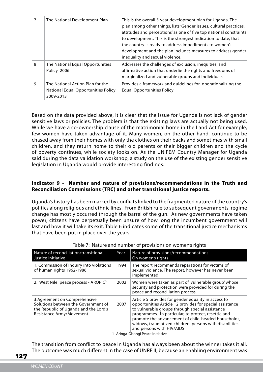| 7 | The National Development Plan                                                               | This is the overall 5-year development plan for Uganda. The<br>plan among other things, lists 'Gender issues, cultural practices,<br>attitudes and perceptions' as one of five top national constraints<br>to development. This is the strongest indication to date, that<br>the country is ready to address impediments to women's<br>development and the plan includes measures to address gender<br>inequality and sexual violence. |
|---|---------------------------------------------------------------------------------------------|----------------------------------------------------------------------------------------------------------------------------------------------------------------------------------------------------------------------------------------------------------------------------------------------------------------------------------------------------------------------------------------------------------------------------------------|
| 8 | The National Equal Opportunities<br>Policy 2006                                             | Addresses the challenges of exclusion, inequities, and<br>affirmative action that underlie the rights and freedoms of<br>marginalized and vulnerable groups and individuals                                                                                                                                                                                                                                                            |
| 9 | The National Action Plan for the<br><b>National Equal Opportunities Policy</b><br>2009-2013 | Provides a framework and guidelines for operationalizing the<br><b>Equal Opportunities Policy</b>                                                                                                                                                                                                                                                                                                                                      |

Based on the data provided above, it is clear that the issue for Uganda is not lack of gender sensitive laws or policies. The problem is that the existing laws are actually not being used. While we have a co-ownership clause of the matrimonial home in the Land Act for example, few women have taken advantage of it. Many women, on the other hand, continue to be chased away from their homes with only the clothes on their backs and sometimes with small children, and they return home to their old parents or their bigger children and the cycle of poverty continues, while society looks on. As the UNIFEM Country Manager for Uganda said during the data validation workshop, a study on the use of the existing gender sensitive legislation in Uganda would provide interesting findings.

#### **Indicator 9 - Number and nature of provisions/recommendations in the Truth and Reconciliation Commissions (TRC) and other transitional justice reports.**

Uganda's history has been marked by conflicts linked to the fragmented nature of the country's politics along religious and ethnic lines. From British rule to subsequent governments, regime change has mostly occurred through the barrel of the gun. As new governments have taken power, citizens have perpetually been unsure of how long the incumbent government will last and how it will take its exit. Table 6 indicates some of the transitional justice mechanisms that have been put in place over the years.

| Nature of reconciliation/transitional<br>Justice initiative                                                                               | Year | Nature of provisions/recommendations<br>On women's rights                                                                                                                                                                                                                                                                                                                                                      |
|-------------------------------------------------------------------------------------------------------------------------------------------|------|----------------------------------------------------------------------------------------------------------------------------------------------------------------------------------------------------------------------------------------------------------------------------------------------------------------------------------------------------------------------------------------------------------------|
| 1. Commission of Inquiry into violations<br>of human rights 1962-1986                                                                     | 1994 | The report recommends reparations for victims of<br>sexual violence. The report, however has never been<br>implemented.                                                                                                                                                                                                                                                                                        |
| 2. West Nile peace process - AROPIC <sup>3</sup>                                                                                          | 2002 | Women were taken as part of 'vulnerable group' whose<br>security and protection were provided for during the<br>peace and reconciliation process.                                                                                                                                                                                                                                                              |
| 3. Agreement on Comprehensive<br>Solutions between the Government of<br>the Republic of Uganda and the Lord's<br>Resistance Army/Movement | 2007 | Article 5 provides for gender equality in access to<br>opportunities Article 12 provides for special assistance<br>to vulnerable groups through special assistance<br>programmes. In particular, to protect, resettle and<br>promote the advancement of child-headed households,<br>widows, traumatized children, persons with disabilities<br>and persons with HIV/AIDS<br>1 Avinese Obenesi Denga Initiative |

|  | Table 7: Nature and number of provisions on women's rights |  |
|--|------------------------------------------------------------|--|
|--|------------------------------------------------------------|--|

1- Aringa-Obongi Peace Initiative

The transition from conflict to peace in Uganda has always been about the winner takes it all. The outcome was much different in the case of UNRF II, because an enabling environment was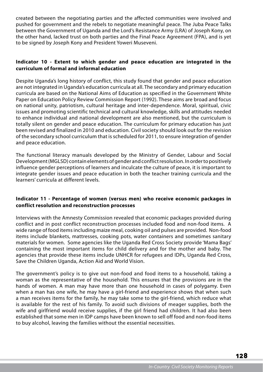created between the negotiating parties and the affected communities were involved and pushed for government and the rebels to negotiate meaningful peace. The Juba Peace Talks between the Government of Uganda and the Lord's Resistance Army (LRA) of Joseph Kony, on the other hand, lacked trust on both parties and the Final Peace Agreement (FPA), and is yet to be signed by Joseph Kony and President Yoweri Museveni.

#### **Indicator 10 - Extent to which gender and peace education are integrated in the curriculum of formal and informal education**

Despite Uganda's long history of conflict, this study found that gender and peace education are not integrated in Uganda's education curricula at all. The secondary and primary education curricula are based on the National Aims of Education as specified in the Government White Paper on Education Policy Review Commission Report (1992). These aims are broad and focus on national unity, patriotism, cultural heritage and inter-dependence. Moral, spiritual, civic issues and promoting scientific technical and cultural knowledge, skills and attitudes needed to enhance individual and national development are also mentioned, but the curriculum is totally silent on gender and peace education. The curriculum for primary education has just been revised and finalized in 2010 and education. Civil society should look out for the revision of the secondary school curriculum that is scheduled for 2011, to ensure integration of gender and peace education.

The functional literacy manuals developed by the Ministry of Gender, Labour and Social Development (MGLSD) contain elements of gender and conflict resolution. In order to positively influence gender perceptions of learners and inculcate the culture of peace, it is important to integrate gender issues and peace education in both the teacher training curricula and the learners' curricula at different levels.

#### **Indicator 11 - Percentage of women (versus men) who receive economic packages in conflict resolution and reconstruction processes**

Interviews with the Amnesty Commission revealed that economic packages provided during conflict and in post conflict reconstruction processes included food and non-food items. A wide range of food items including maize meal, cooking oil and pulses are provided. Non-food items include blankets, mattresses, cooking pots, water containers and sometimes sanitary materials for women. Some agencies like the Uganda Red Cross Society provide 'Mama Bags' containing the most important items for child delivery and for the mother and baby. The agencies that provide these items include UNHCR for refugees and IDPs, Uganda Red Cross, Save the Children Uganda, Action Aid and World Vision.

The government's policy is to give out non-food and food items to a household, taking a woman as the representative of the household. This ensures that the provisions are in the hands of women. A man may have more than one household in cases of polygamy. Even when a man has one wife, he may have a girl-friend and experience shows that when such a man receives items for the family, he may take some to the girl-friend, which reduce what is available for the rest of his family. To avoid such divisions of meager supplies, both the wife and girlfriend would receive supplies, if the girl friend had children. It had also been established that some men in IDP camps have been known to sell off food and non-food items to buy alcohol, leaving the families without the essential necessities.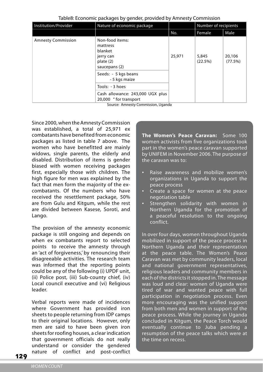| Institution/Provider<br>Nature of economic package |                                                                                   |                            | Number of recipients |                   |
|----------------------------------------------------|-----------------------------------------------------------------------------------|----------------------------|----------------------|-------------------|
|                                                    |                                                                                   | No.                        | Female               | Male              |
| <b>Amnesty Commission</b>                          | Non-food items:<br>mattress<br>blanket<br>jerry can<br>plate (2)<br>saucepans (2) | 25,971<br>5,845<br>(22.5%) |                      | 20,106<br>(77.5%) |
|                                                    | Seeds: - 5 kgs beans<br>- 5 kgs maize                                             |                            |                      |                   |
|                                                    | Tools: - 3 hoes                                                                   |                            |                      |                   |
|                                                    | Cash allowance: 243,000 UGX plus<br>20,000 " for transport                        |                            |                      |                   |

Table8: Economic packages by gender, provided by Amnesty Commission

Source: Amnesty Commission, Uganda

Since 2000, when the Amnesty Commission was established, a total of 25,971 ex combatants have benefited from economic packages as listed in table 7 above. The women who have benefitted are mainly widows, single parents, the elderly and disabled. Distribution of items is gender biased with women receiving packages first, especially those with children. The high figure for men was explained by the fact that men form the majority of the excombatants. Of the numbers who have received the resettlement package, 50% are from Gulu and Kitgum, while the rest are divided between Kasese, Soroti, and Lango.

The provision of the amnesty economic package is still ongoing and depends on when ex combatants report to selected points to receive the amnesty through an 'act of forgiveness,' by renouncing their disagreeable activities. The research team was informed that the reporting points could be any of the following (i) UPDF unit, (ii) Police post, (iii) Sub-county chief, (iv) Local council executive and (vi) Religious leader.

Verbal reports were made of incidences where Government has provided iron sheets to people returning from IDP camps to their original locations. However, only men are said to have been given iron sheets for roofing houses, a clear indication that government officials do not really understand or consider the gendered nature of conflict and post-conflict

**The Women's Peace Caravan:** Some 100 women activists from five organizations took part in the women's peace caravan supported by UNIFEM in November 2006. The purpose of the caravan was to:

- Raise awareness and mobilize women's organizations in Uganda to support the peace process
- Create a space for women at the peace negotiation table
- Strengthen solidarity with women in Northern Uganda for the promotion of a peaceful resolution to the ongoing conflict.

In over four days, women throughout Uganda mobilized in support of the peace process in Northern Uganda and their representation at the peace table. The Women's Peace Caravan was met by community leaders, local and national government representatives, religious leaders and community members in each of the districts it stopped in. The message was loud and clear: women of Uganda were tired of war and wanted peace with full participation in negotiation process. Even more encouraging was the unified support from both men and women in support of the peace process. While the journey in Uganda concluded in Kitgum, the Peace Torch would eventually continue to Juba pending a resumption of the peace talks which were at the time on recess.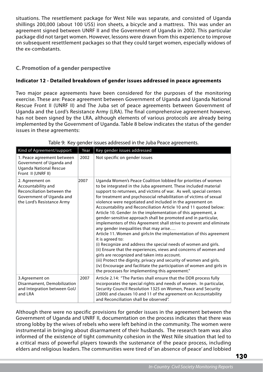situations. The resettlement package for West Nile was separate, and consisted of Uganda shillings 200,000 (about 100 US\$) iron sheets, a bicycle and a mattress. This was under an agreement signed between UNRF II and the Government of Uganda in 2002. This particular package did not target women. However, lessons were drawn from this experience to improve on subsequent resettlement packages so that they could target women, especially widows of the ex-combatants.

#### **C. Promotion of a gender perspective**

#### **Indicator 12 - Detailed breakdown of gender issues addressed in peace agreements**

Two major peace agreements have been considered for the purposes of the monitoring exercise. These are: Peace agreement between Government of Uganda and Uganda National Rescue Front II (UNRF II) and The Juba set of peace agreements between Government of Uganda and the Lord's Resistance Army (LRA). The final comprehensive agreement however, has not been signed by the LRA, although elements of various protocols are already being implemented by the Government of Uganda. Table 8 below indicates the status of the gender issues in these agreements:

| Kind of Agreement/support                                                                                                     | Year | Key gender issues addressed                                                                                                                                                                                                                                                                                                                                                                                                                                                                                                                                                                                                                                                                                                                                                                                                                                                                                                                                                                                                                                                                                                                                   |
|-------------------------------------------------------------------------------------------------------------------------------|------|---------------------------------------------------------------------------------------------------------------------------------------------------------------------------------------------------------------------------------------------------------------------------------------------------------------------------------------------------------------------------------------------------------------------------------------------------------------------------------------------------------------------------------------------------------------------------------------------------------------------------------------------------------------------------------------------------------------------------------------------------------------------------------------------------------------------------------------------------------------------------------------------------------------------------------------------------------------------------------------------------------------------------------------------------------------------------------------------------------------------------------------------------------------|
| 1. Peace agreement between<br>Government of Uganda and<br><b>Uganda National Rescue</b><br>Front II (UNRF II)                 | 2002 | Not specific on gender issues                                                                                                                                                                                                                                                                                                                                                                                                                                                                                                                                                                                                                                                                                                                                                                                                                                                                                                                                                                                                                                                                                                                                 |
| 2. Agreement on<br>Accountability and<br>Reconciliation between the<br>Government of Uganda and<br>the Lord's Resistance Army | 2007 | Uganda Women's Peace Coalition lobbied for priorities of women<br>to be integrated in the Juba agreement. These included material<br>support to returnees, and victims of war. As well, special centers<br>for treatment and psychosocial rehabilitation of victims of sexual<br>violence were negotiated and included in the agreement on<br>Accountability and Reconciliation Article 10 and 11 quoted below:<br>Article 10. Gender : In the implementation of this agreement, a<br>gender-sensitive approach shall be promoted and in particular,<br>implementers of this Agreement shall strive to prevent and eliminate<br>any gender inequalities that may arise<br>Article 11. Women and girls: In the implementation of this agreement<br>it is agreed to:<br>(i) Recognize and address the special needs of women and girls.<br>(ii) Ensure that the experiences, views and concerns of women and<br>girls are recognized and taken into account.<br>(iii) Protect the dignity, privacy and security of women and girls.<br>(iv) Encourage and facilitate the participation of women and girls in<br>the processes for implementing this agreement." |
| 3.Agreement on<br>Disarmament, Demobilization<br>and Integration between GoU<br>and LRA                                       | 2007 | Article 2.14: "The Parties shall ensure that the DDR process fully<br>incorporates the special rights and needs of women. In particular,<br>Security Council Resolution 1325 on Women, Peace and Security<br>(2000) and clauses 10 and 11 of the agreement on Accountability<br>and Reconciliation shall be observed".                                                                                                                                                                                                                                                                                                                                                                                                                                                                                                                                                                                                                                                                                                                                                                                                                                        |

|  | Table 9: Key gender issues addressed in the Juba Peace agreements. |  |  |  |
|--|--------------------------------------------------------------------|--|--|--|
|  |                                                                    |  |  |  |

Although there were no specific provisions for gender issues in the agreement between the Government of Uganda and UNRF II, documentation on the process indicates that there was strong lobby by the wives of rebels who were left behind in the community. The women were instrumental in bringing about disarmament of their husbands. The research team was also informed of the existence of tight community cohesion in the West Nile situation that led to a critical mass of powerful players towards the sustenance of the peace process, including elders and religious leaders. The communities were tired of 'an absence of peace' and lobbied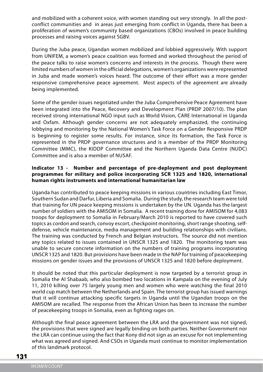and mobilized with a coherent voice, with women standing out very strongly. In all the postconflict communities and in areas just emerging from conflict in Uganda, there has been a proliferation of women's community based organizations (CBOs) involved in peace building processes and raising voices against SGBV.

During the Juba peace, Ugandan women mobilized and lobbied aggressively. With support from UNIFEM, a women's peace coalition was formed and worked throughout the period of the peace talks to raise women's concerns and interests in the process. Though there were limited numbers of women in the official delegations, women's organizations were represented in Juba and made women's voices heard. The outcome of their effort was a more gender responsive comprehensive peace agreement. Most aspects of the agreement are already being implemented.

Some of the gender issues negotiated under the Juba Comprehensive Peace Agreement have been integrated into the Peace, Recovery and Development Plan (PRDP 2007/10). The plan received strong international NGO input such as World Vision, CARE International in Uganda and Oxfam. Although gender concerns are not adequately emphasized, the continuing lobbying and monitoring by the National Women's Task Force on a Gender Responsive PRDP is beginning to register some results. For instance, since its formation, the Task Force is represented in the PRDP governance structures and is a member of the PRDP Monitoring Committee (MMC), the KIDDP Committee and the Northern Uganda Data Centre (NUDC) Committee and is also a member of NUSAF.

#### **Indicator 13 - Number and percentage of pre-deployment and post deployment programmes for military and police incorporating SCR 1325 and 1820, international human rights instruments and international humanitarian law**

Uganda has contributed to peace keeping missions in various countries including East Timor, Southern Sudan and Darfur, Liberia and Somalia. During the study, the research team were told that training for UN peace keeping missions is undertaken by the UN. Uganda has the largest number of soldiers with the AMISOM in Somalia. A recent training done for AMISOM for 4,083 troops for deployment to Somalia in February/March 2010 is reported to have covered such topics as cordon and search, convoy escort, checkpoint monitoring, short range shooting, selfdefense, vehicle maintenance, media management and building relationships with civilians. The training was conducted by French and Belgian instructors. The source did not mention any topics related to issues contained in UNSCR 1325 and 1820. The monitoring team was unable to secure concrete information on the numbers of training programs incorporating UNSCR 1325 and 1820. But provisions have been made in the NAP for training of peacekeeping missions on gender issues and the provisions of UNSCR 1325 and 1820 before deployment.

It should be noted that this particular deployment is now targeted by a terrorist group in Somalia the Al Shabaab, who also bombed two locations in Kampala on the evening of July 11, 2010 killing over 75 largely young men and women who were watching the final 2010 world cup match between the Netherlands and Spain. The terrorist group has issued warnings that it will continue attacking specific targets in Uganda until the Ugandan troops on the AMISOM are recalled. The response from the African Union has been to increase the number of peacekeeping troops in Somalia, even as fighting rages on.

Although the final peace agreement between the LRA and the government was not signed, the provisions that were signed are legally binding on both parties. Neither Government nor the LRA can continue using the fact that Kony did not sign as an excuse for not implementing what was agreed and signed. And CSOs in Uganda must continue to monitor implementation of this landmark protocol.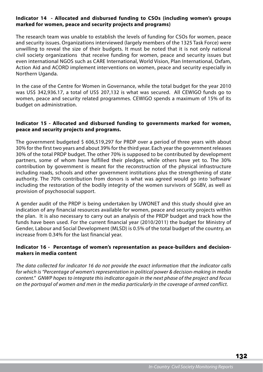#### **Indicator 14 - Allocated and disbursed funding to CSOs (including women's groups marked for women, peace and security projects and programs)**

The research team was unable to establish the levels of funding for CSOs for women, peace and security issues. Organizations interviewed (largely members of the 1325 Task Force) were unwilling to reveal the size of their budgets. It must be noted that it is not only national civil society organizations that receive funding for women, peace and security issues but even international NGOS such as CARE International, World Vision, Plan International, Oxfam, Action Aid and ACORD implement interventions on women, peace and security especially in Northern Uganda.

In the case of the Centre for Women in Governance, while the total budget for the year 2010 was US\$ 342,936.17, a total of US\$ 207,132 is what was secured. All CEWIGO funds go to women, peace and security related programmes. CEWIGO spends a maximum of 15% of its budget on administration.

#### **Indicator 15 - Allocated and disbursed funding to governments marked for women, peace and security projects and programs.**

The government budgeted \$ 606,519,297 for PRDP over a period of three years with about 30% for the first two years and about 39% for the third year. Each year the government releases 30% of the total PRDP budget. The other 70% is supposed to be contributed by development partners, some of whom have fulfilled their pledges, while others have yet to. The 30% contribution by government is meant for the reconstruction of the physical infrastructure including roads, schools and other government institutions plus the strengthening of state authority. The 70% contribution from donors is what was agreed would go into 'software' including the restoration of the bodily integrity of the women survivors of SGBV, as well as provision of psychosocial support.

A gender audit of the PRDP is being undertaken by UWONET and this study should give an indication of any financial resources available for women, peace and security projects within the plan. It is also necessary to carry out an analysis of the PRDP budget and track how the funds have been used. For the current financial year (2010/2011) the budget for Ministry of Gender, Labour and Social Development (MLSD) is 0.5% of the total budget of the country, an increase from 0.34% for the last financial year.

#### **Indicator 16 - Percentage of women's representation as peace-builders and decisionmakers in media content**

The data collected for indicator 16 do not provide the exact information that the indicator calls for which is "Percentage of women's representation in political power & decision-making in media content." GNWP hopes to integrate this indicator again in the next phase of the project and focus on the portrayal of women and men in the media particularly in the coverage of armed conflict.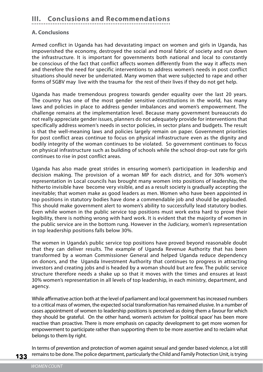## **III. Conclusions and Recommendations**

#### **A. Conclusions**

Armed conflict in Uganda has had devastating impact on women and girls in Uganda, has impoverished the economy, destroyed the social and moral fabric of society and run down the infrastructure. It is important for governments both national and local to constantly be conscious of the fact that conflict affects women differently from the way it affects men and therefore the need for specific interventions to address women's needs in post conflict situations should never be underrated. Many women that were subjected to rape and other forms of SGBV may live with the trauma for the rest of their lives if they do not get help.

Uganda has made tremendous progress towards gender equality over the last 20 years. The country has one of the most gender sensitive constitutions in the world, has many laws and policies in place to address gender imbalances and women's empowerment. The challenge remains at the implementation level. Because many government bureaucrats do not really appreciate gender issues, planners do not adequately provide for interventions that specifically address women's needs in sector policies, in sector plans and budgets. The result is that the well-meaning laws and policies largely remain on paper. Government priorities for post conflict areas continue to focus on physical infrastructure even as the dignity and bodily integrity of the woman continues to be violated. So government continues to focus on physical infrastructure such as building of schools while the school drop-out rate for girls continues to rise in post conflict areas.

Uganda has also made great strides in ensuring women's participation in leadership and decision making. The provision of a woman MP for each district, and for 30% women's representation in Local councils has brought many women into positions of leadership, the hitherto invisible have become very visible, and as a result society is gradually accepting the inevitable; that women make as good leaders as men. Women who have been appointed in top positions in statutory bodies have done a commendable job and should be applauded. This should make government alert to women's ability to successfully lead statutory bodies. Even while women in the public service top positions must work extra hard to prove their legibility, there is nothing wrong with hard work. It is evident that the majority of women in the public service are in the bottom rung. However in the Judiciary, women's representation in top leadership positions falls below 30%.

The women in Uganda's public service top positions have proved beyond reasonable doubt that they can deliver results. The example of Uganda Revenue Authority that has been transformed by a woman Commissioner General and helped Uganda reduce dependency on donors, and the Uganda Investment Authority that continues to progress in attracting investors and creating jobs and is headed by a woman should but are few. The public service structure therefore needs a shake up so that it moves with the times and ensures at least 30% women's representation in all levels of top leadership, in each ministry, department, and agency.

While affirmative action both at the level of parliament and local government has increased numbers to a critical mass of women, the expected social transformation has remained elusive. In a number of cases appointment of women to leadership positions is perceived as doing them a favour for which they should be grateful. On the other hand, women's activism for 'political space' has been more reactive than proactive. There is more emphasis on capacity development to get more women for empowerment to participate rather than supporting them to be more assertive and to reclaim what belongs to them by right.

In terms of prevention and protection of women against sexual and gender based violence, a lot still remains to be done. The police department, particularly the Child and Family Protection Unit, is trying

133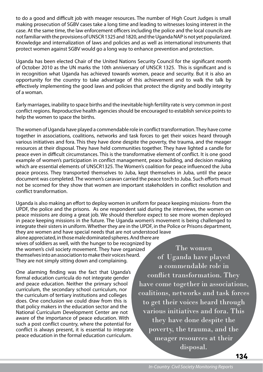to do a good and difficult job with meager resources. The number of High Court Judges is small making prosecution of SGBV cases take a long time and leading to witnesses losing interest in the case. At the same time, the law enforcement officers including the police and the local councils are not familiar with the provisions of UNSCR 1325 and 1820, and the Uganda NAP is not yet popularized. Knowledge and internalization of laws and policies and as well as international instruments that protect women against SGBV would go a long way to enhance prevention and protection.

Uganda has been elected Chair of the United Nations Security Council for the significant month of October 2010 as the UN marks the 10th anniversary of UNSCR 1325. This is significant and is in recognition what Uganda has achieved towards women, peace and security. But it is also an opportunity for the country to take advantage of this achievement and to walk the talk by effectively implementing the good laws and policies that protect the dignity and bodily integrity of a woman.

Early marriages, inability to space births and the inevitable high fertility rate is very common in post conflict regions. Reproductive health agencies should be encouraged to establish service points to help the women to space the births.

The women of Uganda have played a commendable role in conflict transformation. They have come together in associations, coalitions, networks and task forces to get their voices heard through various initiatives and fora. This they have done despite the poverty, the trauma, and the meager resources at their disposal. They have held communities together. They have lighted a candle for peace even in difficult circumstances. This is the transformative element of conflict. It is one good example of women's participation in conflict management, peace building, and decision making which are essential elements of UNSCR1325. The Women's coalition for peace influenced the Juba peace process. They transported themselves to Juba, kept themselves in Juba, until the peace document was completed. The women's caravan carried the peace torch to Juba. Such efforts must not be scorned for they show that women are important stakeholders in conflict resolution and conflict transformation.

Uganda is also making an effort to deploy women in uniform for peace keeping missions- from the UPDF, the police and the prisons. As one respondent said during the interviews, the women on peace missions are doing a great job. We should therefore expect to see more women deployed in peace keeping missions in the future. The Uganda women's movement is being challenged to integrate their sisters in uniform. Whether they are in the UPDF, in the Police or Prisons department,

they are women and have special needs that are not understood leave alone appreciated, in those male dominated spheres. And there are wives of soldiers as well, with the hunger to be recognized by the women's civil society movement. They have organized themselves into an association to make their voices heard. They are not simply sitting down and complaining.

One alarming finding was the fact that Uganda's formal education curricula do not integrate gender and peace education. Neither the primary school curriculum, the secondary school curriculum, nor the curriculum of tertiary institutions and colleges does. One conclusion we could draw from this is that policy makers in the education sector and the National Curriculum Development Center are not aware of the importance of peace education. With such a post conflict country, where the potential for conflict is always present, it is essential to integrate peace education in the formal education curriculum.

The women of Uganda have played a commendable role in conflict transformation. They have come together in associations, coalitions, networks and task forces to get their voices heard through various initiatives and fora. This they have done despite the poverty, the trauma, and the meager resources at their disposal.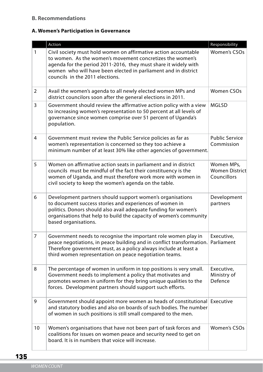#### **B. Recommendations**

#### **A. Women's Participation in Governance**

|                | Action                                                                                                                                                                                                                                                                                               | Responsibility                                     |
|----------------|------------------------------------------------------------------------------------------------------------------------------------------------------------------------------------------------------------------------------------------------------------------------------------------------------|----------------------------------------------------|
| $\mathbf{1}$   | Civil society must hold women on affirmative action accountable<br>to women. As the women's movement concretizes the women's<br>agenda for the period 2011-2016, they must share it widely with<br>women who will have been elected in parliament and in district<br>councils in the 2011 elections. | <b>Women's CSOs</b>                                |
| $\overline{2}$ | Avail the women's agenda to all newly elected women MPs and<br>district councilors soon after the general elections in 2011.                                                                                                                                                                         | <b>Women CSOs</b>                                  |
| 3              | Government should review the affirmative action policy with a view<br>to increasing women's representation to 50 percent at all levels of<br>governance since women comprise over 51 percent of Uganda's<br>population.                                                                              | <b>MGLSD</b>                                       |
| $\overline{4}$ | Government must review the Public Service policies as far as<br>women's representation is concerned so they too achieve a<br>minimum number of at least 30% like other agencies of government.                                                                                                       | <b>Public Service</b><br>Commission                |
| 5              | Women on affirmative action seats in parliament and in district<br>councils must be mindful of the fact their constituency is the<br>women of Uganda, and must therefore work more with women in<br>civil society to keep the women's agenda on the table.                                           | Women MPs,<br><b>Women District</b><br>Councillors |
| 6              | Development partners should support women's organisations<br>to document success stories and experiences of women in<br>politics. Donors should also avail adequate funding for women's<br>organisations that help to build the capacity of women's community<br>based organisations.                | Development<br>partners                            |
| 7              | Government needs to recognise the important role women play in<br>peace negotiations, in peace building and in conflict transformation. Parliament<br>Therefore government must, as a policy always include at least a<br>third women representation on peace negotiation teams.                     | Executive,                                         |
| 8              | The percentage of women in uniform in top positions is very small.<br>Government needs to implement a policy that motivates and<br>promotes women in uniform for they bring unique qualities to the<br>forces. Development partners should support such efforts.                                     | Executive,<br>Ministry of<br>Defence               |
| 9              | Government should appoint more women as heads of constitutional<br>and statutory bodies and also on boards of such bodies. The number<br>of women in such positions is still small compared to the men.                                                                                              | Executive                                          |
| 10             | Women's organisations that have not been part of task forces and<br>coalitions for issues on women peace and security need to get on<br>board. It is in numbers that voice will increase.                                                                                                            | <b>Women's CSOs</b>                                |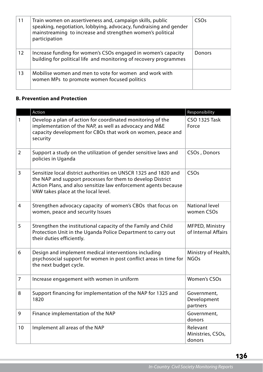| 11 | Train women on assertiveness and, campaign skills, public<br>speaking, negotiation, lobbying, advocacy, fundraising and gender<br>mainstreaming to increase and strengthen women's political<br>participation | CSO <sub>S</sub> |
|----|---------------------------------------------------------------------------------------------------------------------------------------------------------------------------------------------------------------|------------------|
| 12 | Increase funding for women's CSOs engaged in women's capacity<br>building for political life and monitoring of recovery programmes                                                                            | Donors           |
| 13 | Mobilise women and men to vote for women and work with<br>women MPs to promote women focused politics                                                                                                         |                  |

#### **B. Prevention and Protection**

|                | Action                                                                                                                                                                                                                                  | Responsibility                          |
|----------------|-----------------------------------------------------------------------------------------------------------------------------------------------------------------------------------------------------------------------------------------|-----------------------------------------|
| 1              | Develop a plan of action for coordinated monitoring of the<br>implementation of the NAP, as well as advocacy and M&E<br>capacity development for CBOs that work on women, peace and<br>security                                         | <b>CSO 1325 Task</b><br>Force           |
| $\overline{2}$ | Support a study on the utilization of gender sensitive laws and<br>policies in Uganda                                                                                                                                                   | CSOs, Donors                            |
| 3              | Sensitize local district authorities on UNSCR 1325 and 1820 and<br>the NAP and support processes for them to develop District<br>Action Plans, and also sensitize law enforcement agents because<br>VAW takes place at the local level. | CSOs                                    |
| $\overline{4}$ | Strengthen advocacy capacity of women's CBOs that focus on<br>women, peace and security Issues                                                                                                                                          | <b>National level</b><br>women CSOs     |
| 5              | Strengthen the institutional capacity of the Family and Child<br>Protection Unit in the Uganda Police Department to carry out<br>their duties efficiently.                                                                              | MFPED, Ministry<br>of Internal Affairs  |
| 6              | Design and implement medical interventions including<br>psychosocial support for women in post conflict areas in time for<br>the next budget cycle.                                                                                     | Ministry of Health,<br><b>NGOs</b>      |
| $\overline{7}$ | Increase engagement with women in uniform                                                                                                                                                                                               | <b>Women's CSOs</b>                     |
| 8              | Support financing for implementation of the NAP for 1325 and<br>1820                                                                                                                                                                    | Government,<br>Development<br>partners  |
| 9              | Finance implementation of the NAP                                                                                                                                                                                                       | Government,<br>donors                   |
| 10             | Implement all areas of the NAP                                                                                                                                                                                                          | Relevant<br>Ministries, CSOs,<br>donors |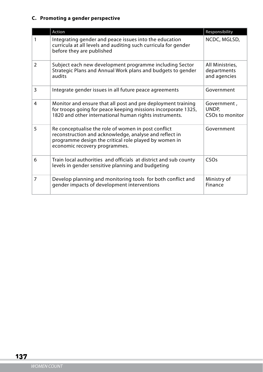### **C. Promoting a gender perspective**

|                | Action                                                                                                                                                                                                  | Responsibility                                 |
|----------------|---------------------------------------------------------------------------------------------------------------------------------------------------------------------------------------------------------|------------------------------------------------|
| 1              | Integrating gender and peace issues into the education<br>curricula at all levels and auditing such curricula for gender<br>before they are published                                                   | NCDC, MGLSD,                                   |
| $\overline{2}$ | Subject each new development programme including Sector<br>Strategic Plans and Annual Work plans and budgets to gender<br>audits                                                                        | All Ministries,<br>departments<br>and agencies |
| 3              | Integrate gender issues in all future peace agreements                                                                                                                                                  | Government                                     |
| 4              | Monitor and ensure that all post and pre deployment training<br>for troops going for peace keeping missions incorporate 1325,<br>1820 and other international human rights instruments.                 | Government,<br>UNDP,<br>CSOs to monitor        |
| 5              | Re conceptualise the role of women in post conflict<br>reconstruction and acknowledge, analyse and reflect in<br>programme design the critical role played by women in<br>economic recovery programmes. | Government                                     |
| 6              | Train local authorities and officials at district and sub county<br>levels in gender sensitive planning and budgeting                                                                                   | CSO <sub>s</sub>                               |
| $\overline{7}$ | Develop planning and monitoring tools for both conflict and<br>gender impacts of development interventions                                                                                              | Ministry of<br>Finance                         |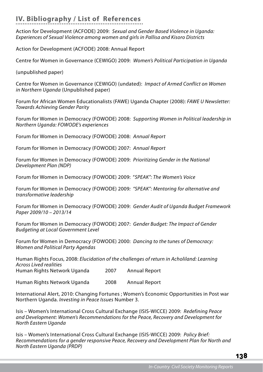## **IV. Bibliography / List of References**

Action for Development (ACFODE) 2009: Sexual and Gender Based Violence in Uganda: Experiences of Sexual Violence among women and girls in Pallisa and Kisoro Districts

Action for Development (ACFODE) 2008: Annual Report

Centre for Women in Governance (CEWIGO) 2009: Women's Political Participation in Uganda

(unpublished paper)

Centre for Women in Governance (CEWIGO) (undated): Impact of Armed Conflict on Women in Northern Uganda (Unpublished paper)

Forum for African Women Educationalists (FAWE) Uganda Chapter (2008): FAWE U Newsletter: Towards Achieving Gender Parity

Forum for Women in Democracy (FOWODE) 2008: Supporting Women in Political leadership in Northern Uganda: FOWODE's experiences

Forum for Women in Democracy (FOWODE) 2008: Annual Report

Forum for Women in Democracy (FOWODE) 2007: Annual Report

Forum for Women in Democracy (FOWODE) 2009: Prioritizing Gender in the National Development Plan (NDP)

Forum for Women in Democracy (FOWODE) 2009: "SPEAK": The Women's Voice

Forum for Women in Democracy (FOWODE) 2009: "SPEAK": Mentoring for alternative and transformative leadership

Forum for Women in Democracy (FOWODE) 2009: Gender Audit of Uganda Budget Framework Paper 2009/10 – 2013/14

Forum for Women in Democracy (FOWODE) 2007: Gender Budget: The Impact of Gender Budgeting at Local Government Level

Forum for Women in Democracy (FOWODE) 2000: Dancing to the tunes of Democracy: Women and Political Party Agendas

Human Rights Focus, 2008: Elucidation of the challenges of return in Acholiland: Learning Across Lived realities Human Rights Network Uganda 2007 Annual Report

Human Rights Network Uganda 2008 Annual Report

International Alert, 2010: Changing Fortunes ; Women's Economic Opportunities in Post war Northern Uganda. Investing in Peace Issues Number 3.

Isis – Women's International Cross Cultural Exchange (ISIS-WICCE) 2009: Redefining Peace and Development: Women's Recommendations for the Peace, Recovery and Development for North Eastern Uganda

Isis – Women's International Cross Cultural Exchange (ISIS-WICCE) 2009: Policy Brief: Recommendations for a gender responsive Peace, Recovery and Development Plan for North and North Eastern Uganda (PRDP)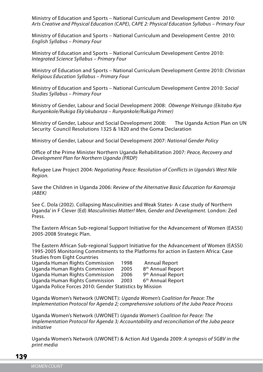Ministry of Education and Sports – National Curriculum and Development Centre 2010: Arts Creative and Physical Education (CAPE), CAPE 2: Physical Education Syllabus – Primary Four

Ministry of Education and Sports – National Curriculum and Development Centre 2010: English Syllabus – Primary Four

Ministry of Education and Sports – National Curriculum Development Centre 2010: Integrated Science Syllabus – Primary Four

Ministry of Education and Sports – National Curriculum Development Centre 2010: Christian Religious Education Syllabus – Primary Four

Ministry of Education and Sports – National Curriculum Development Centre 2010: Social Studies Syllabus – Primary Four

Ministry of Gender, Labour and Social Development 2008: Obwenge N'eitungo (Ekitabo Kya Runyankole/Rukiga Eky'okubanza – Runyankole/Rukiga Primer)

Ministry of Gender, Labour and Social Development 2008: The Uganda Action Plan on UN Security Council Resolutions 1325 & 1820 and the Goma Declaration

Ministry of Gender, Labour and Social Development 2007: National Gender Policy

Office of the Prime Minister Northern Uganda Rehabilitation 2007: Peace, Recovery and Development Plan for Northern Uganda (PRDP)

Refugee Law Project 2004: Negotiating Peace: Resolution of Conflicts in Uganda's West Nile Region.

Save the Children in Uganda 2006: Review of the Alternative Basic Education for Karamoja (ABEK)

See C. Dola (2002). Collapsing Masculinities and Weak States- A case study of Northern Uganda' in F Clever (Ed) Masculinities Matter! Men, Gender and Development. London: Zed Press.

The Eastern African Sub-regional Support Initiative for the Advancement of Women (EASSI) 2005-2008 Strategic Plan.

The Eastern African Sub-regional Support Initiative for the Advancement of Women (EASSI) 1995-2005 Monitoring Commitments to the Platforms for action in Eastern Africa: Case Studies from Eight Countries

| Uganda Human Rights Commission                          | 1998 | <b>Annual Report</b>          |  |  |  |
|---------------------------------------------------------|------|-------------------------------|--|--|--|
| Uganda Human Rights Commission                          | 2005 | 8 <sup>th</sup> Annual Report |  |  |  |
| Uganda Human Rights Commission                          | 2006 | 9 <sup>th</sup> Annual Report |  |  |  |
| Uganda Human Rights Commission                          | 2003 | 6 <sup>th</sup> Annual Report |  |  |  |
| Uganda Police Forces 2010: Gender Statistics by Mission |      |                               |  |  |  |

Uganda Women's Network (UWONET): Uganda Women's Coalition for Peace: The Implementation Protocol for Agenda 2; comprehensive solutions of the Juba Peace Process

Uganda Women's Network (UWONET) Uganda Women's Coalition for Peace: The Implementation Protocol for Agenda 3; Accountability and reconciliation of the Juba peace initiative

Uganda Women's Network (UWONET) & Action Aid Uganda 2009: A synopsis of SGBV in the print media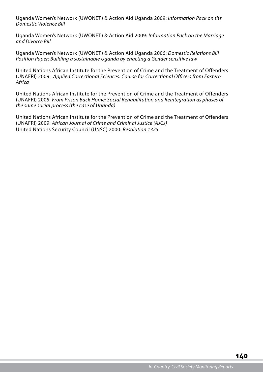Uganda Women's Network (UWONET) & Action Aid Uganda 2009: Information Pack on the Domestic Violence Bill

Uganda Women's Network (UWONET) & Action Aid 2009: Information Pack on the Marriage and Divorce Bill

Uganda Women's Network (UWONET) & Action Aid Uganda 2006: Domestic Relations Bill Position Paper: Building a sustainable Uganda by enacting a Gender sensitive law

United Nations African Institute for the Prevention of Crime and the Treatment of Offenders (UNAFRI) 2009: Applied Correctional Sciences: Course for Correctional Officers from Eastern Africa

United Nations African Institute for the Prevention of Crime and the Treatment of Offenders (UNAFRI) 2005: From Prison Back Home: Social Rehabilitation and Reintegration as phases of the same social process (the case of Uganda)

United Nations African Institute for the Prevention of Crime and the Treatment of Offenders (UNAFRI) 2009: African Journal of Crime and Criminal Justice (AJCJ) United Nations Security Council (UNSC) 2000: Resolution 1325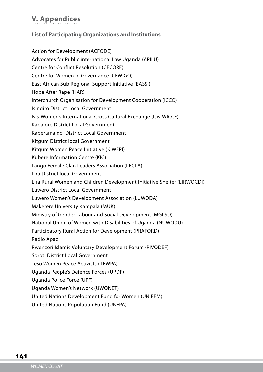## **V. Appendices**

#### **List of Participating Organizations and Institutions**

Action for Development (ACFODE) Advocates for Public international Law Uganda (APILU) Centre for Conflict Resolution (CECORE) Centre for Women in Governance (CEWIGO) East African Sub Regional Support Initiative (EASSI) Hope After Rape (HAR) Interchurch Organisation for Development Cooperation (ICCO) Isingiro District Local Government Isis-Women's International Cross Cultural Exchange (Isis-WICCE) Kabalore District Local Government Kaberamaido District Local Government Kitgum District local Government Kitgum Women Peace Initiative (KIWEPI) Kubere Information Centre (KIC) Lango Female Clan Leaders Association (LFCLA) Lira District local Government Lira Rural Women and Children Development Initiative Shelter (LIRWOCDI) Luwero District Local Government Luwero Women's Development Association (LUWODA) Makerere University Kampala (MUK) Ministry of Gender Labour and Social Development (MGLSD) National Union of Women with Disabilities of Uganda (NUWODU) Participatory Rural Action for Development (PRAFORD) Radio Apac Rwenzori Islamic Voluntary Development Forum (RIVODEF) Soroti District Local Government Teso Women Peace Activists (TEWPA) Uganda People's Defence Forces (UPDF) Uganda Police Force (UPF) Uganda Women's Network (UWONET) United Nations Development Fund for Women (UNIFEM) United Nations Population Fund (UNFPA)